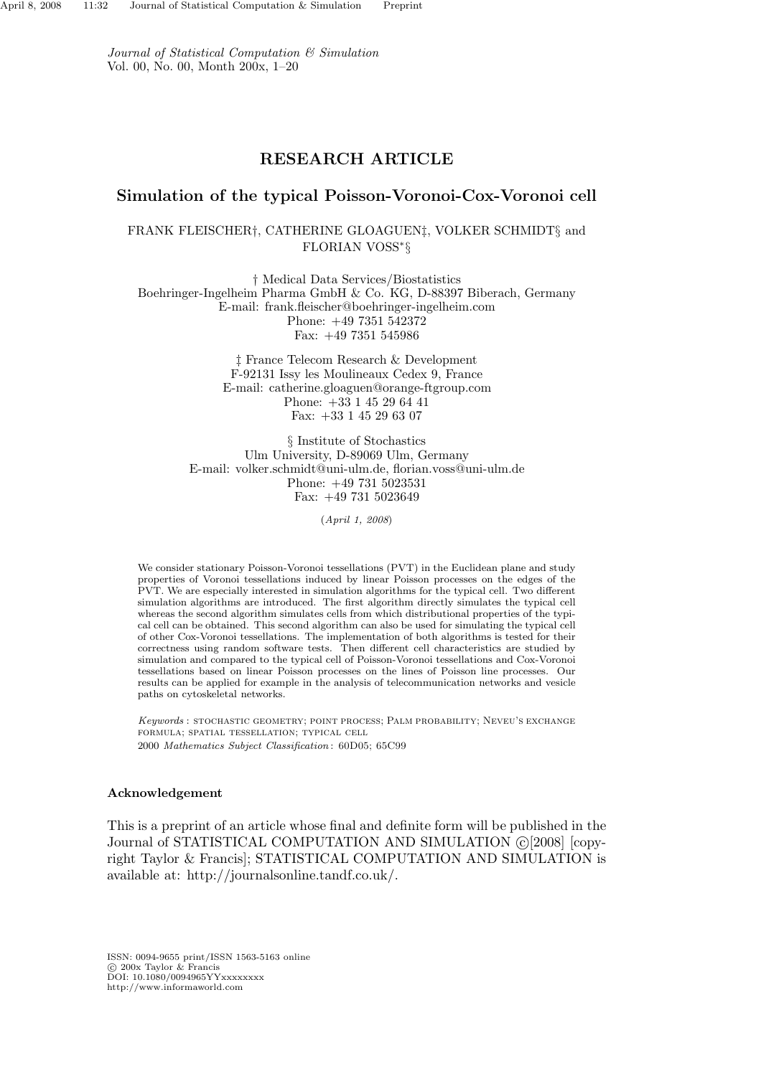Journal of Statistical Computation & Simulation Vol. 00, No. 00, Month 200x, 1–20

# RESEARCH ARTICLE

# Simulation of the typical Poisson-Voronoi-Cox-Voronoi cell

# FRANK FLEISCHER†, CATHERINE GLOAGUEN‡, VOLKER SCHMIDT§ and FLORIAN VOSS<sup>∗</sup> §

† Medical Data Services/Biostatistics Boehringer-Ingelheim Pharma GmbH & Co. KG, D-88397 Biberach, Germany E-mail: frank.fleischer@boehringer-ingelheim.com Phone: +49 7351 542372 Fax: +49 7351 545986

> ‡ France Telecom Research & Development F-92131 Issy les Moulineaux Cedex 9, France E-mail: catherine.gloaguen@orange-ftgroup.com Phone: +33 1 45 29 64 41 Fax: +33 1 45 29 63 07

§ Institute of Stochastics Ulm University, D-89069 Ulm, Germany E-mail: volker.schmidt@uni-ulm.de, florian.voss@uni-ulm.de Phone: +49 731 5023531 Fax: +49 731 5023649

(April 1, 2008)

We consider stationary Poisson-Voronoi tessellations (PVT) in the Euclidean plane and study properties of Voronoi tessellations induced by linear Poisson processes on the edges of the PVT. We are especially interested in simulation algorithms for the typical cell. Two different simulation algorithms are introduced. The first algorithm directly simulates the typical cell whereas the second algorithm simulates cells from which distributional properties of the typical cell can be obtained. This second algorithm can also be used for simulating the typical cell of other Cox-Voronoi tessellations. The implementation of both algorithms is tested for their correctness using random software tests. Then different cell characteristics are studied by simulation and compared to the typical cell of Poisson-Voronoi tessellations and Cox-Voronoi tessellations based on linear Poisson processes on the lines of Poisson line processes. Our results can be applied for example in the analysis of telecommunication networks and vesicle paths on cytoskeletal networks.

Keywords : stochastic geometry; point process; Palm probability; Neveu's exchange formula; spatial tessellation; typical cell 2000 Mathematics Subject Classification : 60D05; 65C99

#### Acknowledgement

This is a preprint of an article whose final and definite form will be published in the Journal of STATISTICAL COMPUTATION AND SIMULATION (C)[2008] [copyright Taylor & Francis]; STATISTICAL COMPUTATION AND SIMULATION is available at: http://journalsonline.tandf.co.uk/.

ISSN: 0094-9655 print/ISSN 1563-5163 online c 200x Taylor & Francis DOI: 10.1080/0094965YYxxxxxxxx http://www.informaworld.com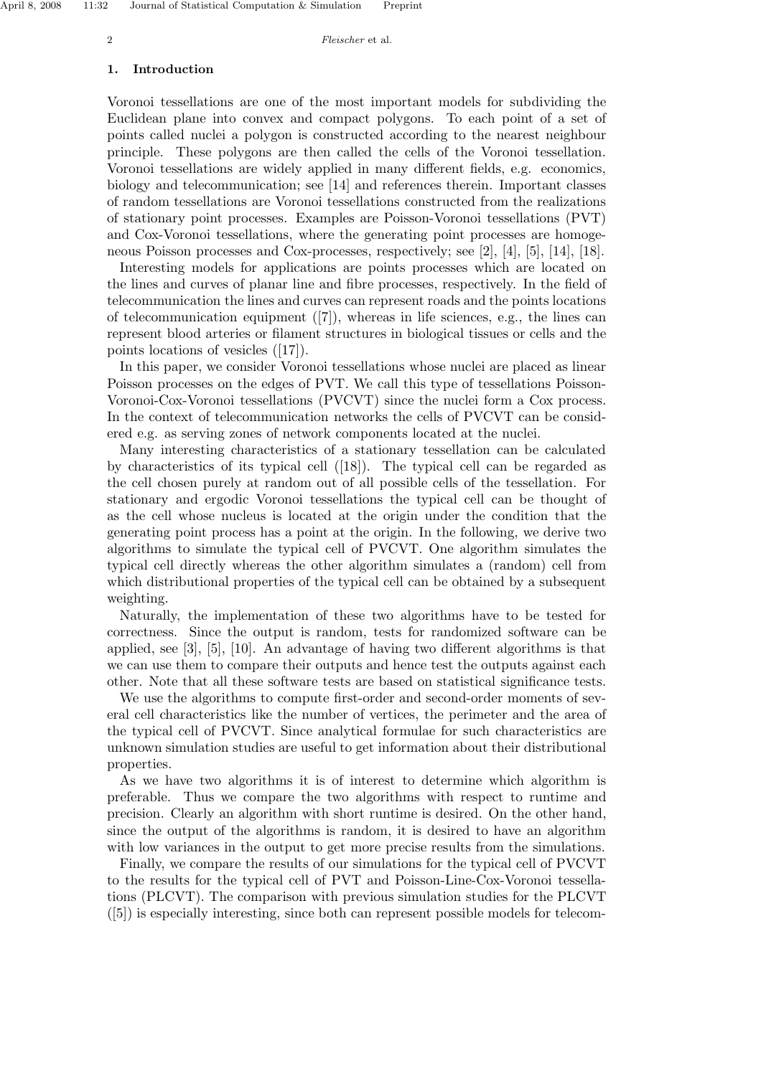#### 1. Introduction

Voronoi tessellations are one of the most important models for subdividing the Euclidean plane into convex and compact polygons. To each point of a set of points called nuclei a polygon is constructed according to the nearest neighbour principle. These polygons are then called the cells of the Voronoi tessellation. Voronoi tessellations are widely applied in many different fields, e.g. economics, biology and telecommunication; see [14] and references therein. Important classes of random tessellations are Voronoi tessellations constructed from the realizations of stationary point processes. Examples are Poisson-Voronoi tessellations (PVT) and Cox-Voronoi tessellations, where the generating point processes are homogeneous Poisson processes and Cox-processes, respectively; see [2], [4], [5], [14], [18].

Interesting models for applications are points processes which are located on the lines and curves of planar line and fibre processes, respectively. In the field of telecommunication the lines and curves can represent roads and the points locations of telecommunication equipment ([7]), whereas in life sciences, e.g., the lines can represent blood arteries or filament structures in biological tissues or cells and the points locations of vesicles ([17]).

In this paper, we consider Voronoi tessellations whose nuclei are placed as linear Poisson processes on the edges of PVT. We call this type of tessellations Poisson-Voronoi-Cox-Voronoi tessellations (PVCVT) since the nuclei form a Cox process. In the context of telecommunication networks the cells of PVCVT can be considered e.g. as serving zones of network components located at the nuclei.

Many interesting characteristics of a stationary tessellation can be calculated by characteristics of its typical cell ([18]). The typical cell can be regarded as the cell chosen purely at random out of all possible cells of the tessellation. For stationary and ergodic Voronoi tessellations the typical cell can be thought of as the cell whose nucleus is located at the origin under the condition that the generating point process has a point at the origin. In the following, we derive two algorithms to simulate the typical cell of PVCVT. One algorithm simulates the typical cell directly whereas the other algorithm simulates a (random) cell from which distributional properties of the typical cell can be obtained by a subsequent weighting.

Naturally, the implementation of these two algorithms have to be tested for correctness. Since the output is random, tests for randomized software can be applied, see [3], [5], [10]. An advantage of having two different algorithms is that we can use them to compare their outputs and hence test the outputs against each other. Note that all these software tests are based on statistical significance tests.

We use the algorithms to compute first-order and second-order moments of several cell characteristics like the number of vertices, the perimeter and the area of the typical cell of PVCVT. Since analytical formulae for such characteristics are unknown simulation studies are useful to get information about their distributional properties.

As we have two algorithms it is of interest to determine which algorithm is preferable. Thus we compare the two algorithms with respect to runtime and precision. Clearly an algorithm with short runtime is desired. On the other hand, since the output of the algorithms is random, it is desired to have an algorithm with low variances in the output to get more precise results from the simulations.

Finally, we compare the results of our simulations for the typical cell of PVCVT to the results for the typical cell of PVT and Poisson-Line-Cox-Voronoi tessellations (PLCVT). The comparison with previous simulation studies for the PLCVT ([5]) is especially interesting, since both can represent possible models for telecom-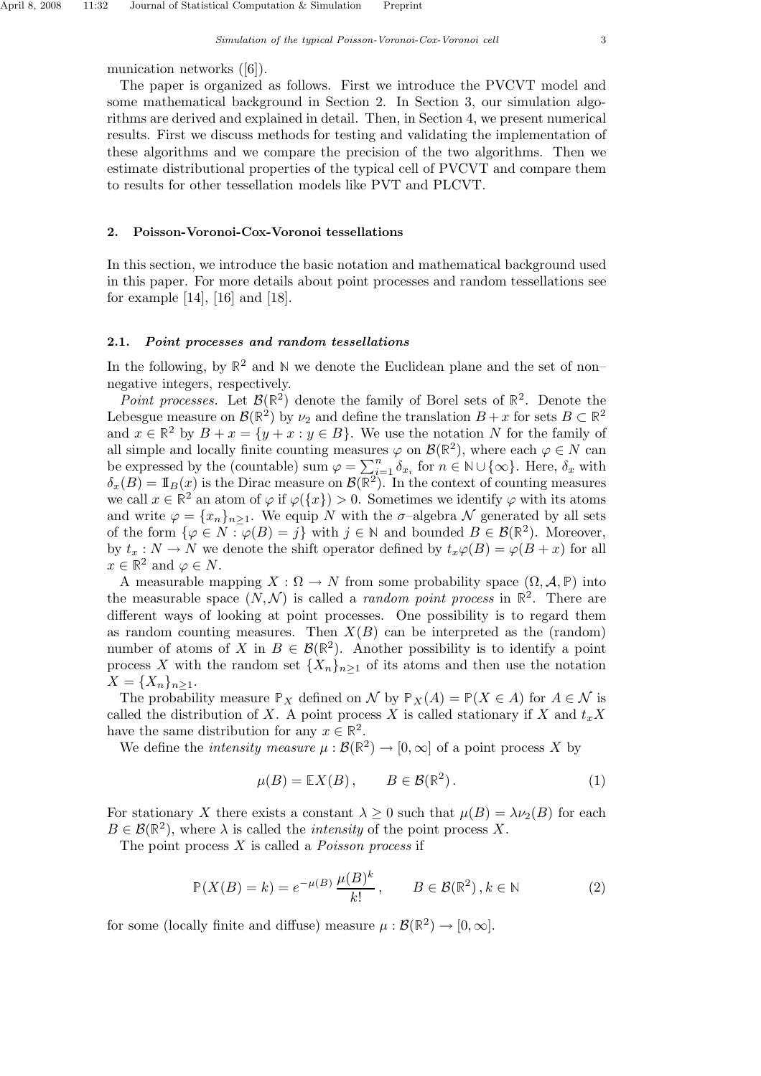The paper is organized as follows. First we introduce the PVCVT model and some mathematical background in Section 2. In Section 3, our simulation algorithms are derived and explained in detail. Then, in Section 4, we present numerical results. First we discuss methods for testing and validating the implementation of these algorithms and we compare the precision of the two algorithms. Then we estimate distributional properties of the typical cell of PVCVT and compare them to results for other tessellation models like PVT and PLCVT.

## 2. Poisson-Voronoi-Cox-Voronoi tessellations

In this section, we introduce the basic notation and mathematical background used in this paper. For more details about point processes and random tessellations see for example [14], [16] and [18].

# 2.1. Point processes and random tessellations

In the following, by  $\mathbb{R}^2$  and  $\mathbb N$  we denote the Euclidean plane and the set of non– negative integers, respectively.

Point processes. Let  $\mathcal{B}(\mathbb{R}^2)$  denote the family of Borel sets of  $\mathbb{R}^2$ . Denote the Lebesgue measure on  $\mathcal{B}(\mathbb{R}^2)$  by  $\nu_2$  and define the translation  $B + x$  for sets  $B \subset \mathbb{R}^2$ and  $x \in \mathbb{R}^2$  by  $B + x = \{y + x : y \in B\}$ . We use the notation N for the family of all simple and locally finite counting measures  $\varphi$  on  $\mathcal{B}(\mathbb{R}^2)$ , where each  $\varphi \in N$  can be expressed by the (countable) sum  $\varphi = \sum_{i=1}^n \delta_{x_i}$  for  $n \in \mathbb{N} \cup \{\infty\}$ . Here,  $\delta_x$  with  $\delta_x(B) = \mathbb{I}_B(x)$  is the Dirac measure on  $\mathcal{B}(\mathbb{R}^2)$ . In the context of counting measures we call  $x \in \mathbb{R}^2$  an atom of  $\varphi$  if  $\varphi({x}) > 0$ . Sometimes we identify  $\varphi$  with its atoms and write  $\varphi = \{x_n\}_{n\geq 1}$ . We equip N with the  $\sigma$ -algebra N generated by all sets of the form  $\{\varphi \in N : \varphi(B) = j\}$  with  $j \in \mathbb{N}$  and bounded  $B \in \mathcal{B}(\mathbb{R}^2)$ . Moreover, by  $t_x : N \to N$  we denote the shift operator defined by  $t_x\varphi(B) = \varphi(B+x)$  for all  $x \in \mathbb{R}^2$  and  $\varphi \in N$ .

A measurable mapping  $X : \Omega \to N$  from some probability space  $(\Omega, \mathcal{A}, \mathbb{P})$  into the measurable space  $(N, \mathcal{N})$  is called a *random point process* in  $\mathbb{R}^2$ . There are different ways of looking at point processes. One possibility is to regard them as random counting measures. Then  $X(B)$  can be interpreted as the (random) number of atoms of X in  $B \in \mathcal{B}(\mathbb{R}^2)$ . Another possibility is to identify a point process X with the random set  ${X_n}_{n>1}$  of its atoms and then use the notation  $X = \{X_n\}_{n \geq 1}$ .

The probability measure  $\mathbb{P}_X$  defined on N by  $\mathbb{P}_X(A) = \mathbb{P}(X \in A)$  for  $A \in \mathcal{N}$  is called the distribution of X. A point process X is called stationary if X and  $t_{x}X$ have the same distribution for any  $x \in \mathbb{R}^2$ .

We define the *intensity measure*  $\mu : \mathcal{B}(\mathbb{R}^2) \to [0, \infty]$  of a point process X by

$$
\mu(B) = \mathbb{E}X(B), \qquad B \in \mathcal{B}(\mathbb{R}^2). \tag{1}
$$

For stationary X there exists a constant  $\lambda \geq 0$  such that  $\mu(B) = \lambda \nu_2(B)$  for each  $B \in \mathcal{B}(\mathbb{R}^2)$ , where  $\lambda$  is called the *intensity* of the point process X.

The point process  $X$  is called a *Poisson process* if

$$
\mathbb{P}(X(B) = k) = e^{-\mu(B)} \frac{\mu(B)^k}{k!}, \qquad B \in \mathcal{B}(\mathbb{R}^2), k \in \mathbb{N}
$$
 (2)

for some (locally finite and diffuse) measure  $\mu : \mathcal{B}(\mathbb{R}^2) \to [0, \infty]$ .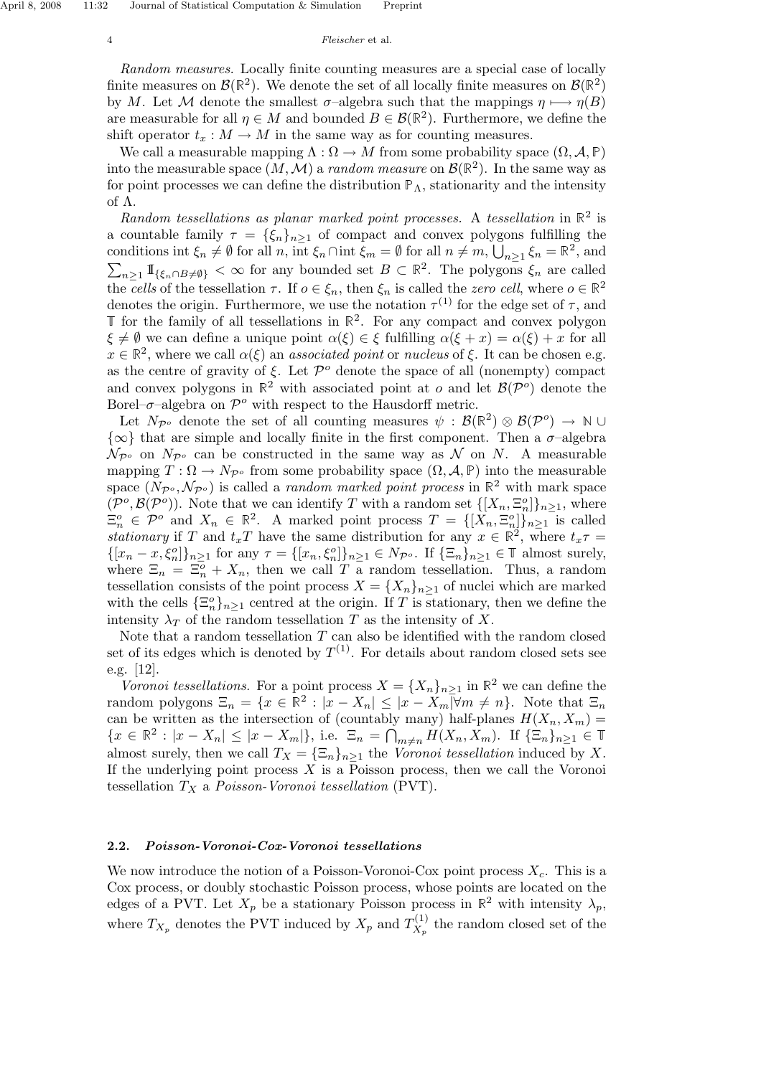Random measures. Locally finite counting measures are a special case of locally finite measures on  $\mathcal{B}(\mathbb{R}^2)$ . We denote the set of all locally finite measures on  $\mathcal{B}(\mathbb{R}^2)$ . by M. Let M denote the smallest  $\sigma$ -algebra such that the mappings  $\eta \mapsto \eta(B)$ are measurable for all  $\eta \in M$  and bounded  $B \in \mathcal{B}(\mathbb{R}^2)$ . Furthermore, we define the shift operator  $t<sub>x</sub> : M \to M$  in the same way as for counting measures.

We call a measurable mapping  $\Lambda : \Omega \to M$  from some probability space  $(\Omega, \mathcal{A}, \mathbb{P})$ into the measurable space  $(M, M)$  a *random measure* on  $\mathcal{B}(\mathbb{R}^2)$ . In the same way as for point processes we can define the distribution  $\mathbb{P}_{\Lambda}$ , stationarity and the intensity of Λ.

Random tessellations as planar marked point processes. A tessellation in  $\mathbb{R}^2$  is a countable family  $\tau = {\xi_n}_{n \geq 1}$  of compact and convex polygons fulfilling the conditions int  $\xi_n \neq \emptyset$  for all n, int  $\xi_n \cap$  int  $\overline{\xi_m} = \emptyset$  for all  $n \neq m$ ,  $\overline{\bigcup}_{n \geq 1} \xi_n = \mathbb{R}^2$ , and  $\sum_{n\geq 1} \mathbb{I}_{\{\xi_n\cap B\neq\emptyset\}} < \infty$  for any bounded set  $B \subset \mathbb{R}^2$ . The polygons  $\xi_n$  are called the cells of the tessellation  $\tau$ . If  $o \in \xi_n$ , then  $\xi_n$  is called the zero cell, where  $o \in \mathbb{R}^2$ denotes the origin. Furthermore, we use the notation  $\tau^{(1)}$  for the edge set of  $\tau$ , and  $\mathbb T$  for the family of all tessellations in  $\mathbb R^2$ . For any compact and convex polygon  $\xi \neq \emptyset$  we can define a unique point  $\alpha(\xi) \in \xi$  fulfilling  $\alpha(\xi + x) = \alpha(\xi) + x$  for all  $x \in \mathbb{R}^2$ , where we call  $\alpha(\xi)$  an *associated point* or *nucleus* of  $\xi$ . It can be chosen e.g. as the centre of gravity of  $\xi$ . Let  $\mathcal{P}^o$  denote the space of all (nonempty) compact and convex polygons in  $\mathbb{R}^2$  with associated point at  $o$  and let  $\mathcal{B}(\mathcal{P}^o)$  denote the Borel– $\sigma$ –algebra on  $\mathcal{P}^o$  with respect to the Hausdorff metric.

Let  $N_{\mathcal{P}^o}$  denote the set of all counting measures  $\psi : \mathcal{B}(\mathbb{R}^2) \otimes \mathcal{B}(\mathcal{P}^o) \to \mathbb{N} \cup$  $\{\infty\}$  that are simple and locally finite in the first component. Then a  $\sigma$ -algebra  $\mathcal{N}_{\mathcal{P}^o}$  on  $N_{\mathcal{P}^o}$  can be constructed in the same way as N on N. A measurable mapping  $T : \Omega \to N_{\mathcal{P}^o}$  from some probability space  $(\Omega, \mathcal{A}, \mathbb{P})$  into the measurable space  $(N_{\mathcal{P}^o}, \mathcal{N}_{\mathcal{P}^o})$  is called a *random marked point process* in  $\mathbb{R}^2$  with mark space  $(\mathcal{P}^o, \mathcal{B}(\mathcal{P}^o))$ . Note that we can identify T with a random set  $\{[X_n, \Xi_n^o]\}_{n\geq 1}$ , where  $\Xi_n^o \in \mathcal{P}^o$  and  $X_n \in \mathbb{R}^2$ . A marked point process  $T = \{[X_n, \Xi_n^o]\}_{n \geq 1}$  is called stationary if T and  $t_xT$  have the same distribution for any  $x \in \mathbb{R}^2$ , where  $t_x\tau =$  $\{[x_n - x, \xi_n^o]\}_{n \geq 1}$  for any  $\tau = \{[x_n, \xi_n^o]\}_{n \geq 1} \in N_{\mathcal{P}^o}$ . If  $\{\Xi_n\}_{n \geq 1} \in \mathbb{T}$  almost surely, where  $\Xi_n = \Xi_n^o + X_n$ , then we call T a random tessellation. Thus, a random tessellation consists of the point process  $X = \{X_n\}_{n\geq 1}$  of nuclei which are marked with the cells  $\{\Xi_n^o\}_{n\geq 1}$  centred at the origin. If T is stationary, then we define the intensity  $\lambda_T$  of the random tessellation T as the intensity of X.

Note that a random tessellation  $T$  can also be identified with the random closed set of its edges which is denoted by  $T^{(1)}$ . For details about random closed sets see e.g. [12].

Voronoi tessellations. For a point process  $X = \{X_n\}_{n>1}$  in  $\mathbb{R}^2$  we can define the random polygons  $\Xi_n = \{x \in \mathbb{R}^2 : |x - X_n| \leq |x - X_m| \forall m \neq n\}$ . Note that  $\Xi_n$ can be written as the intersection of (countably many) half-planes  $H(X_n, X_m) =$  ${x \in \mathbb{R}^2 : |x - X_n| \le |x - X_m|}, \text{ i.e. } \Xi_n = \bigcap_{m \ne n} H(X_n, X_m). \text{ If } {\{\Xi_n\}}_{n \ge 1} \in \mathbb{T}$ almost surely, then we call  $T_X = {\{\Xi_n\}}_{n\geq 1}$  the *Voronoi tessellation* induced by X. If the underlying point process  $X$  is a Poisson process, then we call the Voronoi tessellation  $T_X$  a *Poisson-Voronoi tessellation* (PVT).

## 2.2. Poisson-Voronoi-Cox-Voronoi tessellations

We now introduce the notion of a Poisson-Voronoi-Cox point process  $X_c$ . This is a Cox process, or doubly stochastic Poisson process, whose points are located on the edges of a PVT. Let  $X_p$  be a stationary Poisson process in  $\mathbb{R}^2$  with intensity  $\lambda_p$ , where  $T_{X_p}$  denotes the PVT induced by  $X_p$  and  $T_{X_p}^{(1)}$  $X_p^{(1)}$  the random closed set of the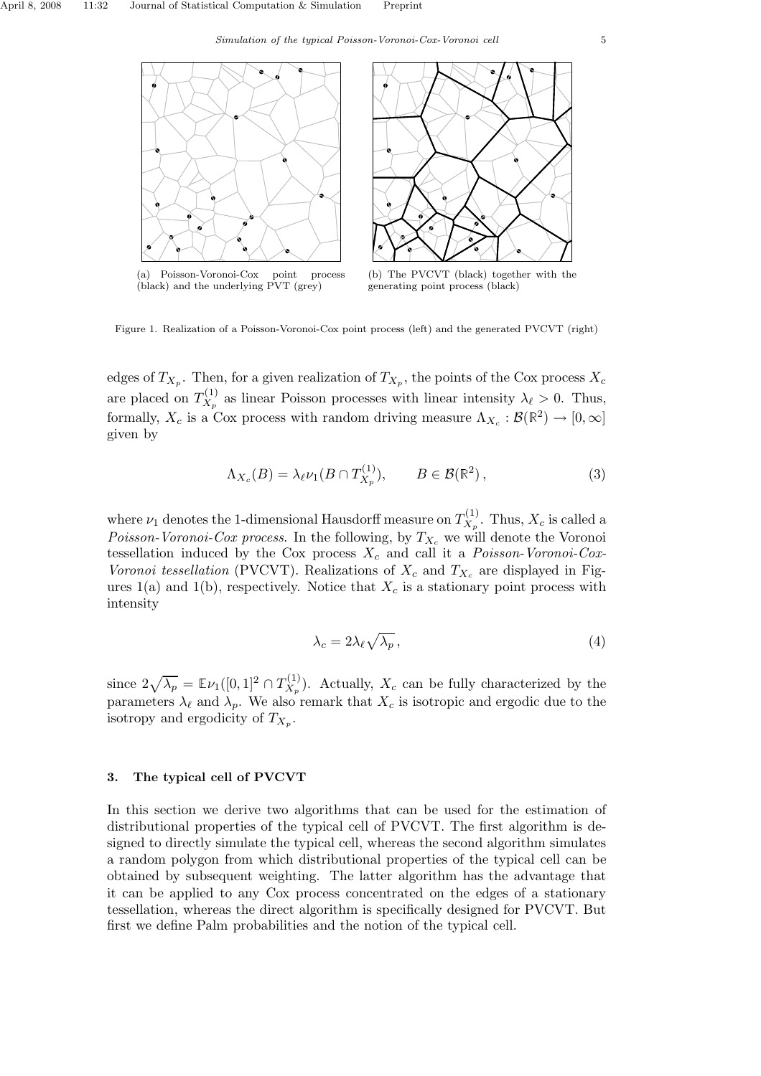

Figure 1. Realization of a Poisson-Voronoi-Cox point process (left) and the generated PVCVT (right)

edges of  $T_{X_p}$ . Then, for a given realization of  $T_{X_p}$ , the points of the Cox process  $X_c$ are placed on  $T_{X_n}^{(1)}$  $X_p^{(1)}$  as linear Poisson processes with linear intensity  $\lambda_{\ell} > 0$ . Thus, formally,  $X_c$  is a Cox process with random driving measure  $\Lambda_{X_c} : \mathcal{B}(\mathbb{R}^2) \to [0, \infty]$ given by

$$
\Lambda_{X_c}(B) = \lambda_{\ell} \nu_1(B \cap T_{X_p}^{(1)}), \qquad B \in \mathcal{B}(\mathbb{R}^2), \tag{3}
$$

where  $\nu_1$  denotes the 1-dimensional Hausdorff measure on  $T^{(1)}_{X_n}$  $X_p^{(1)}$ . Thus,  $X_c$  is called a *Poisson-Voronoi-Cox process.* In the following, by  $T_{X_c}$  we will denote the Voronoi tessellation induced by the Cox process  $X_c$  and call it a *Poisson-Voronoi-Cox-*Voronoi tessellation (PVCVT). Realizations of  $X_c$  and  $T_{X_c}$  are displayed in Figures 1(a) and 1(b), respectively. Notice that  $X_c$  is a stationary point process with intensity

$$
\lambda_c = 2\lambda_\ell \sqrt{\lambda_p} \,,\tag{4}
$$

since  $2\sqrt{\lambda_p} = \mathbb{E}\nu_1([0,1]^2 \cap T_{X_p}^{(1)}$  $(X_{\mathcal{X}_p}^{(1)})$ . Actually,  $X_c$  can be fully characterized by the parameters  $\lambda_{\ell}$  and  $\lambda_p$ . We also remark that  $X_c$  is isotropic and ergodic due to the isotropy and ergodicity of  $T_{X_p}$ .

# 3. The typical cell of PVCVT

In this section we derive two algorithms that can be used for the estimation of distributional properties of the typical cell of PVCVT. The first algorithm is designed to directly simulate the typical cell, whereas the second algorithm simulates a random polygon from which distributional properties of the typical cell can be obtained by subsequent weighting. The latter algorithm has the advantage that it can be applied to any Cox process concentrated on the edges of a stationary tessellation, whereas the direct algorithm is specifically designed for PVCVT. But first we define Palm probabilities and the notion of the typical cell.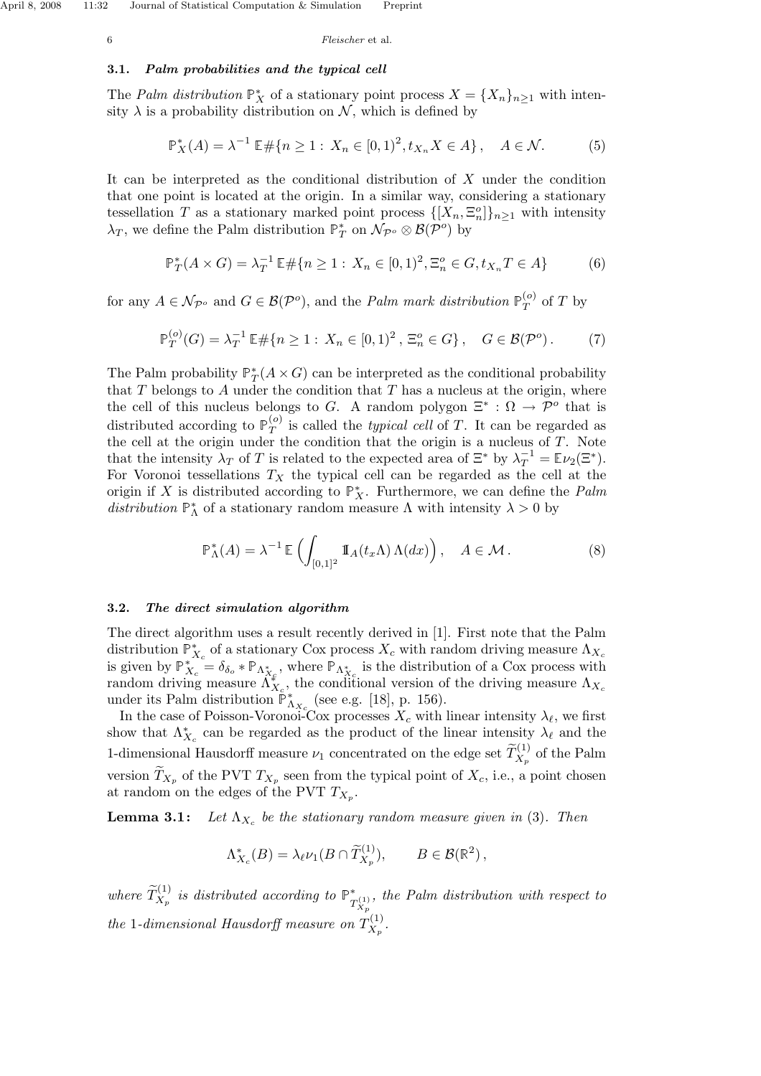# 3.1. Palm probabilities and the typical cell

The *Palm distribution*  $\mathbb{P}_{X}^{*}$  of a stationary point process  $X = \{X_n\}_{n \geq 1}$  with intensity  $\lambda$  is a probability distribution on N, which is defined by

$$
\mathbb{P}_X^*(A) = \lambda^{-1} \mathbb{E} \# \{ n \ge 1 : X_n \in [0,1)^2, t_{X_n} X \in A \}, \quad A \in \mathcal{N}.
$$
 (5)

It can be interpreted as the conditional distribution of  $X$  under the condition that one point is located at the origin. In a similar way, considering a stationary tessellation T as a stationary marked point process  $\{[X_n, \Xi_n^o]\}_{n\geq 1}$  with intensity  $\lambda_T$ , we define the Palm distribution  $\mathbb{P}_T^*$  on  $\mathcal{N}_{\mathcal{P}^o} \otimes \mathcal{B}(\mathcal{P}^o)$  by

$$
\mathbb{P}_T^*(A \times G) = \lambda_T^{-1} \mathbb{E} \# \{ n \ge 1 : X_n \in [0,1)^2, \Xi_n^o \in G, t_{X_n} T \in A \}
$$
 (6)

for any  $A \in \mathcal{N}_{\mathcal{P}^o}$  and  $G \in \mathcal{B}(\mathcal{P}^o)$ , and the *Palm mark distribution*  $\mathbb{P}_T^{(o)}$  $T(T)$  of T by

$$
\mathbb{P}_T^{(o)}(G) = \lambda_T^{-1} \mathbb{E} \# \{ n \ge 1 : X_n \in [0, 1)^2, \, \Xi_n^o \in G \}, \quad G \in \mathcal{B}(\mathcal{P}^o).
$$
 (7)

The Palm probability  $\mathbb{P}_T^*(A \times G)$  can be interpreted as the conditional probability that  $T$  belongs to  $A$  under the condition that  $T$  has a nucleus at the origin, where the cell of this nucleus belongs to G. A random polygon  $\Xi^* : \Omega \to \mathcal{P}^o$  that is distributed according to  $\mathbb{P}_T^{(o)}$  $T^{(o)}$  is called the *typical cell* of T. It can be regarded as the cell at the origin under the condition that the origin is a nucleus of T. Note that the intensity  $\lambda_T$  of T is related to the expected area of  $\Xi^*$  by  $\lambda_T^{-1} = \mathbb{E} \nu_2(\Xi^*)$ . For Voronoi tessellations  $T_X$  the typical cell can be regarded as the cell at the origin if X is distributed according to  $\mathbb{P}_{X}^{*}$ . Furthermore, we can define the Palm distribution  $\mathbb{P}_{\Lambda}^*$  of a stationary random measure  $\Lambda$  with intensity  $\lambda > 0$  by

$$
\mathbb{P}_{\Lambda}^*(A) = \lambda^{-1} \mathbb{E}\left(\int_{[0,1]^2} \mathbb{I}_A(t_x \Lambda) \Lambda(dx)\right), \quad A \in \mathcal{M}.
$$
 (8)

## 3.2. The direct simulation algorithm

The direct algorithm uses a result recently derived in [1]. First note that the Palm distribution  $\mathbb{P}_{X_c}^*$  of a stationary Cox process  $X_c$  with random driving measure  $\Lambda_{X_c}$ is given by  $\mathbb{P}_{X_c}^* = \delta_{\delta_o} * \mathbb{P}_{\Lambda_{X_c}^*}$ , where  $\mathbb{P}_{\Lambda_{X_c}^*}$  is the distribution of a Cox process with random driving measure  $\hat{\Lambda}_{X_c}^{\varepsilon}$ , the conditional version of the driving measure  $\Lambda_{X_c}$ under its Palm distribution  $\mathbb{P}_{\Lambda_{X_c}}^*$  (see e.g. [18], p. 156).

In the case of Poisson-Voronoi-Cox processes  $X_c$  with linear intensity  $\lambda_{\ell}$ , we first show that  $\Lambda_{X_c}^*$  can be regarded as the product of the linear intensity  $\lambda_{\ell}$  and the 1-dimensional Hausdorff measure  $\nu_1$  concentrated on the edge set  $\widetilde{T}_{X_p}^{(1)}$  of the Palm version  $T_{X_p}$  of the PVT  $T_{X_p}$  seen from the typical point of  $X_c$ , i.e., a point chosen at random on the edges of the PVT  $T_{X_p}$ .

**Lemma 3.1:** Let  $\Lambda_{X_c}$  be the stationary random measure given in (3). Then

$$
\Lambda_{X_c}^*(B) = \lambda_{\ell} \nu_1(B \cap \widetilde{T}_{X_p}^{(1)}), \qquad B \in \mathcal{B}(\mathbb{R}^2),
$$

where  $\widetilde{T}_{X_p}^{(1)}$  is distributed according to  $\mathbb{P}^*_{T_{X_p}^{(1)}}$ , the Palm distribution with respect to the 1-dimensional Hausdorff measure on  $T_{X_n}^{(1)}$  $X_p^{(1)}$  .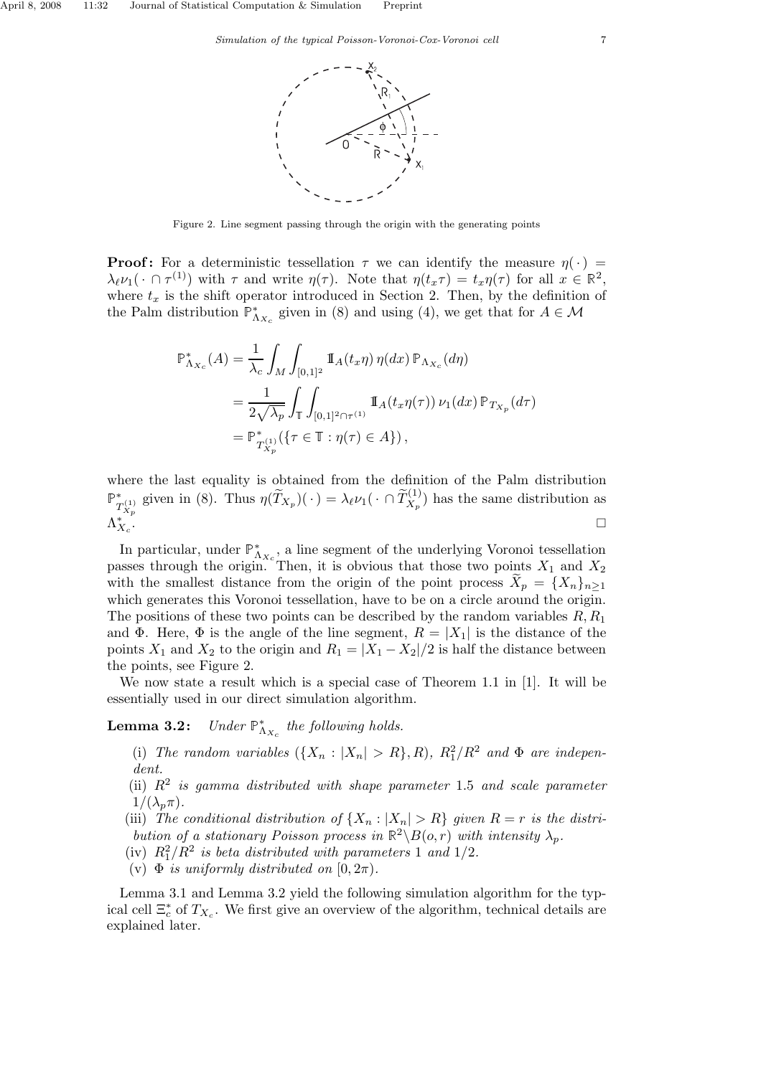

Figure 2. Line segment passing through the origin with the generating points

**Proof:** For a deterministic tessellation  $\tau$  we can identify the measure  $\eta(\cdot)$  =  $\lambda_{\ell} \nu_1(\cdot \cap \tau^{(1)})$  with  $\tau$  and write  $\eta(\tau)$ . Note that  $\eta(t_x \tau) = t_x \eta(\tau)$  for all  $x \in \mathbb{R}^2$ , where  $t_x$  is the shift operator introduced in Section 2. Then, by the definition of the Palm distribution  $\mathbb{P}_{\Lambda_{X_c}}^*$  given in (8) and using (4), we get that for  $A \in \mathcal{M}$ 

$$
\mathbb{P}_{\Lambda_{X_c}}^*(A) = \frac{1}{\lambda_c} \int_M \int_{[0,1]^2} \mathbb{I}_A(t_x \eta) \, \eta(dx) \, \mathbb{P}_{\Lambda_{X_c}}(d\eta)
$$
  
= 
$$
\frac{1}{2\sqrt{\lambda_p}} \int_{\mathbb{T}} \int_{[0,1]^2 \cap \tau^{(1)}} \mathbb{I}_A(t_x \eta(\tau)) \, \nu_1(dx) \, \mathbb{P}_{T_{X_p}}(d\tau)
$$
  
= 
$$
\mathbb{P}_{T_{X_p}}^*(1) \{ \tau \in \mathbb{T} : \eta(\tau) \in A \} ),
$$

where the last equality is obtained from the definition of the Palm distribution  $\mathbb{P}^*_{T_{X_p}^{(1)}}$  given in (8). Thus  $\eta(\widetilde{T}_{X_p})(\cdot) = \lambda_{\ell} \nu_1(\cdot \cap \widetilde{T}_{X_p}^{(1)})$  has the same distribution as  $\Lambda_{X_c}^*$ .

In particular, under  $\mathbb{P}_{\Lambda_{X_c}}^*$  a line segment of the underlying Voronoi tessellation passes through the origin. Then, it is obvious that those two points  $X_1$  and  $X_2$ with the smallest distance from the origin of the point process  $X_n = \{X_n\}_{n\geq 1}$ which generates this Voronoi tessellation, have to be on a circle around the origin. The positions of these two points can be described by the random variables  $R, R_1$ and Φ. Here, Φ is the angle of the line segment,  $R = |X_1|$  is the distance of the points  $X_1$  and  $X_2$  to the origin and  $R_1 = |X_1 - X_2|/2$  is half the distance between the points, see Figure 2.

We now state a result which is a special case of Theorem 1.1 in [1]. It will be essentially used in our direct simulation algorithm.

Lemma  $3.2$ :  $\Lambda_{X_c}$  the following holds.

- (i) The random variables  $({X_n : |X_n| > R}, R), R_1^2/R^2$  and  $\Phi$  are independent.
- (ii)  $R^2$  is gamma distributed with shape parameter 1.5 and scale parameter  $1/(\lambda_n\pi)$ .
- (iii) The conditional distribution of  $\{X_n : |X_n| > R\}$  given  $R = r$  is the distribution of a stationary Poisson process in  $\mathbb{R}^2 \setminus B(o,r)$  with intensity  $\lambda_p$ .
- (iv)  $R_1^2/R^2$  is beta distributed with parameters 1 and 1/2.
- (v)  $\Phi$  is uniformly distributed on  $[0, 2\pi)$ .

Lemma 3.1 and Lemma 3.2 yield the following simulation algorithm for the typical cell  $\Xi_c^*$  of  $T_{X_c}$ . We first give an overview of the algorithm, technical details are explained later.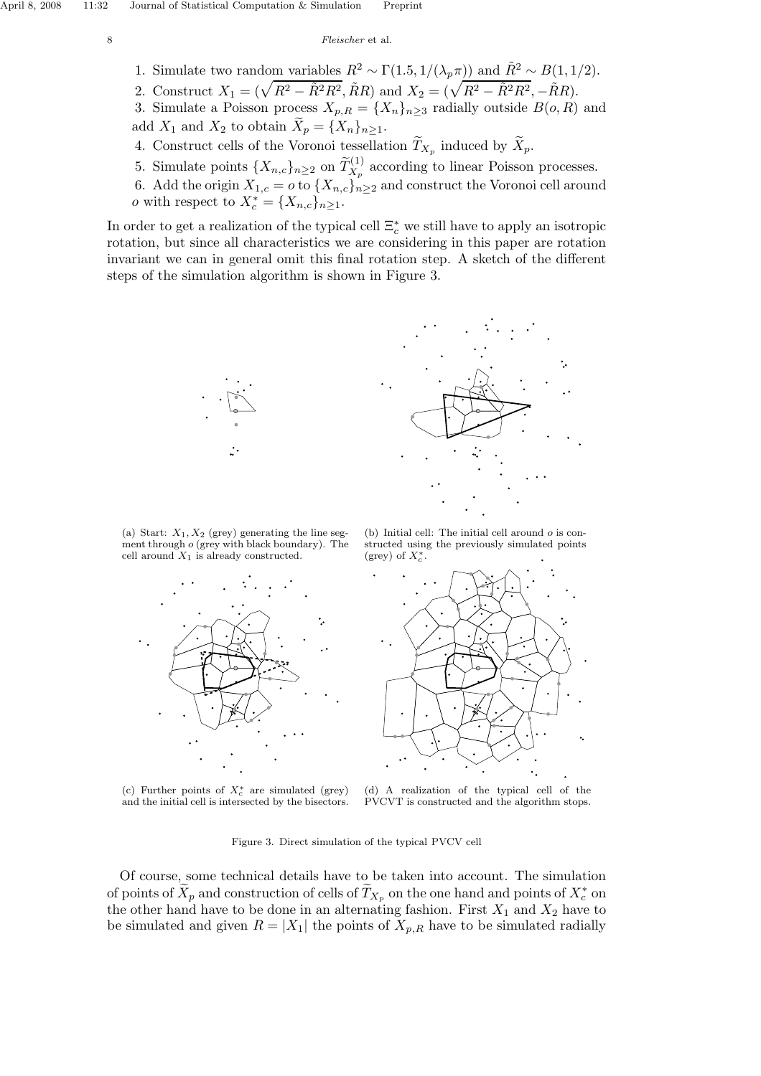- 1. Simulate two random variables  $R^2 \sim \Gamma(1.5, 1/(\lambda_p \pi))$  and  $\tilde{R}^2 \sim B(1, 1/2)$ .
- 2. Construct  $X_1 = (\sqrt{R^2 \tilde{R}^2 R^2}, \tilde{R}R)$  and  $X_2 = (\sqrt{R^2 \tilde{R}^2 R^2}, -\tilde{R}R)$ .
- 3. Simulate a Poisson process  $X_{p,R} = \{X_n\}_{n>3}$  radially outside  $B(o, R)$  and add  $X_1$  and  $X_2$  to obtain  $\widetilde{X}_p = \{X_n\}_{n \geq 1}$ .
- 4. Construct cells of the Voronoi tessellation  $T_{X_p}$  induced by  $X_p$ .
- 5. Simulate points  $\{X_{n,c}\}_{n\geq 2}$  on  $\widetilde{T}_{X_p}^{(1)}$  according to linear Poisson processes.
- 6. Add the origin  $X_{1,c} = o$  to  $\{X_{n,c}\}_{n \geq 2}$  and construct the Voronoi cell around o with respect to  $X_c^* = \{X_{n,c}\}_{n\geq 1}$ .

In order to get a realization of the typical cell  $\Xi_c^*$  we still have to apply an isotropic rotation, but since all characteristics we are considering in this paper are rotation invariant we can in general omit this final rotation step. A sketch of the different steps of the simulation algorithm is shown in Figure 3.



(a) Start:  $X_1, X_2$  (grey) generating the line segment through o (grey with black boundary). The cell around  $X_1$  is already constructed.



(c) Further points of  $X_c^*$  are simulated (grey) and the initial cell is intersected by the bisectors.

(b) Initial cell: The initial cell around  $o$  is constructed using the previously simulated points  $(grey)$  of  $X_c^*$ .



(d) A realization of the typical cell of the PVCVT is constructed and the algorithm stops.

Figure 3. Direct simulation of the typical PVCV cell

Of course, some technical details have to be taken into account. The simulation of points of  $\widetilde{X}_p$  and construction of cells of  $\widetilde{T}_{X_p}$  on the one hand and points of  $X_c^*$  on the other hand have to be done in an alternating fashion. First  $X_1$  and  $X_2$  have to be simulated and given  $R = |X_1|$  the points of  $X_{p,R}$  have to be simulated radially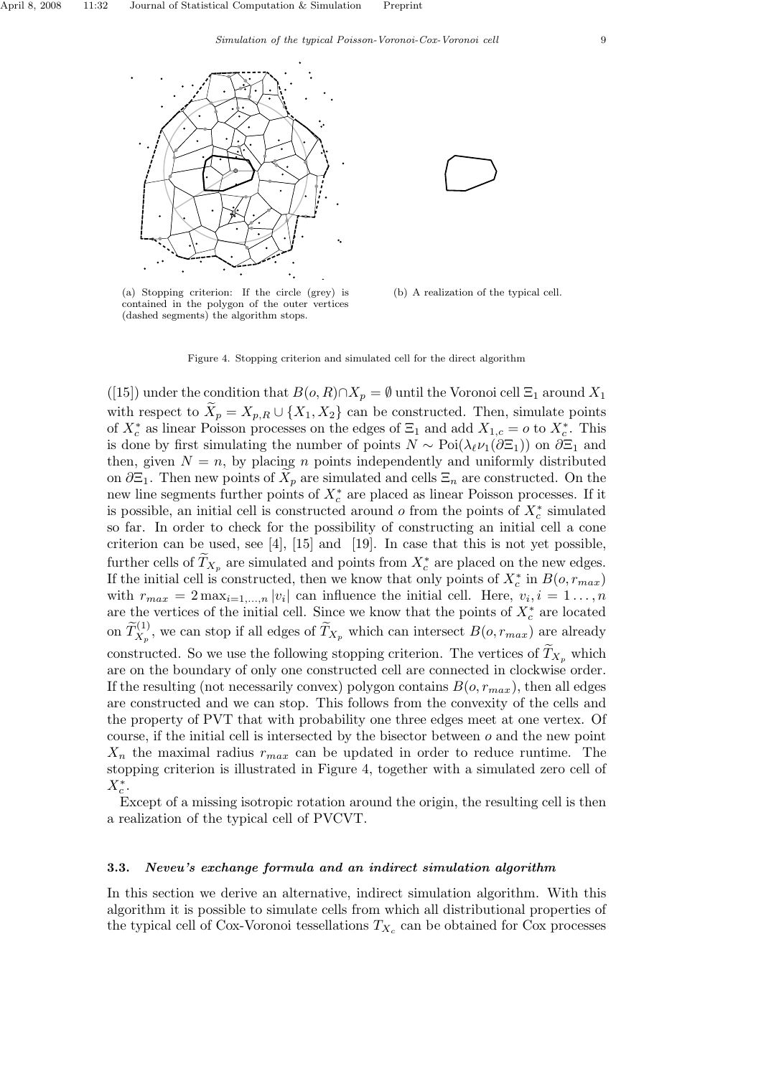



(a) Stopping criterion: If the circle (grey) is contained in the polygon of the outer vertices (dashed segments) the algorithm stops.

(b) A realization of the typical cell.



([15]) under the condition that  $B(o, R) \cap X_p = \emptyset$  until the Voronoi cell  $\Xi_1$  around  $X_1$ with respect to  $X_p = X_{p,R} \cup \{X_1, X_2\}$  can be constructed. Then, simulate points of  $X_c^*$  as linear Poisson processes on the edges of  $\Xi_1$  and add  $X_{1,c} = o$  to  $X_c^*$ . This is done by first simulating the number of points  $N \sim \text{Poi}(\lambda_{\ell} \nu_1(\partial \Xi_1))$  on  $\partial \Xi_1$  and then, given  $N = n$ , by placing n points independently and uniformly distributed on  $\partial \Xi_1$ . Then new points of  $X_p$  are simulated and cells  $\Xi_n$  are constructed. On the new line segments further points of  $X_c^*$  are placed as linear Poisson processes. If it is possible, an initial cell is constructed around  $o$  from the points of  $X_c^*$  simulated so far. In order to check for the possibility of constructing an initial cell a cone criterion can be used, see [4], [15] and [19]. In case that this is not yet possible, further cells of  $T_{X_p}$  are simulated and points from  $X_c^*$  are placed on the new edges. If the initial cell is constructed, then we know that only points of  $X_c^*$  in  $B(o, r_{max})$ with  $r_{max} = 2 \max_{i=1,\dots,n} |v_i|$  can influence the initial cell. Here,  $v_i, i = 1,\dots,n$ are the vertices of the initial cell. Since we know that the points of  $X_c^*$  are located on  $\widetilde{T}^{(1)}_{X_p}$ , we can stop if all edges of  $\widetilde{T}_{X_p}$  which can intersect  $B(o, r_{max})$  are already constructed. So we use the following stopping criterion. The vertices of  $T_{X_n}$  which are on the boundary of only one constructed cell are connected in clockwise order. If the resulting (not necessarily convex) polygon contains  $B(o, r_{max})$ , then all edges are constructed and we can stop. This follows from the convexity of the cells and the property of PVT that with probability one three edges meet at one vertex. Of course, if the initial cell is intersected by the bisector between  $o$  and the new point  $X_n$  the maximal radius  $r_{max}$  can be updated in order to reduce runtime. The stopping criterion is illustrated in Figure 4, together with a simulated zero cell of  $X_c^*$ .

Except of a missing isotropic rotation around the origin, the resulting cell is then a realization of the typical cell of PVCVT.

#### 3.3. Neveu's exchange formula and an indirect simulation algorithm

In this section we derive an alternative, indirect simulation algorithm. With this algorithm it is possible to simulate cells from which all distributional properties of the typical cell of Cox-Voronoi tessellations  $T_{X_c}$  can be obtained for Cox processes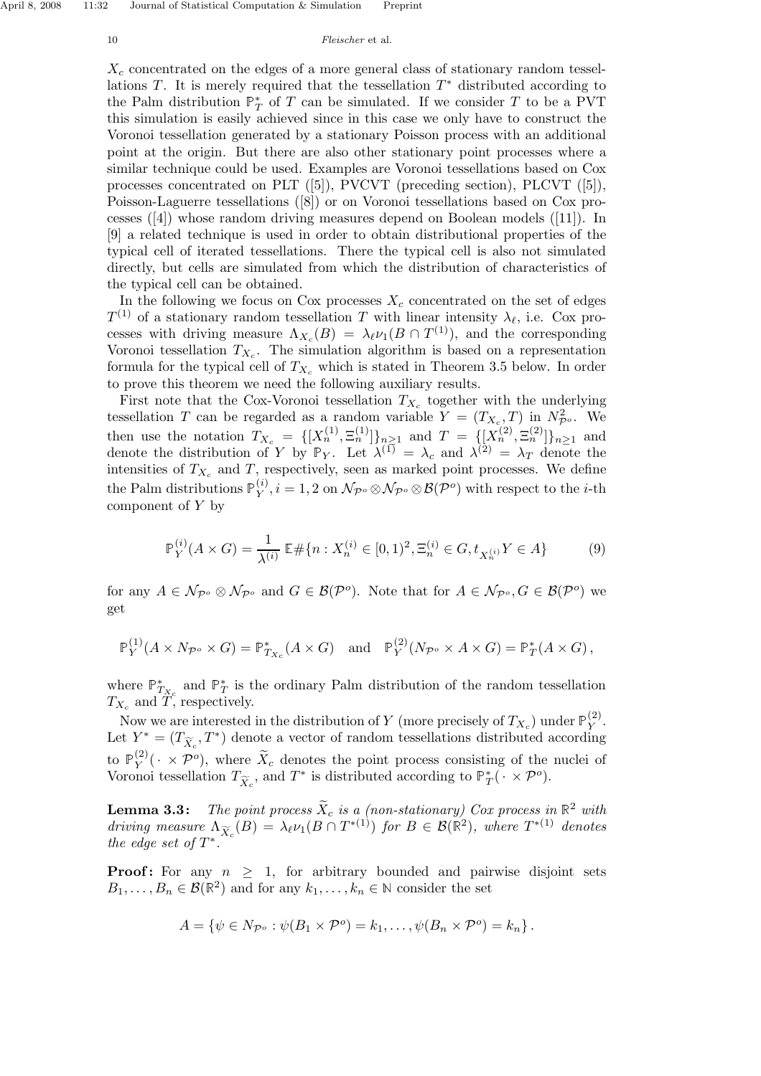$X_c$  concentrated on the edges of a more general class of stationary random tessellations  $T$ . It is merely required that the tessellation  $T^*$  distributed according to the Palm distribution  $\mathbb{P}_T^*$  of T can be simulated. If we consider T to be a PVT this simulation is easily achieved since in this case we only have to construct the Voronoi tessellation generated by a stationary Poisson process with an additional point at the origin. But there are also other stationary point processes where a similar technique could be used. Examples are Voronoi tessellations based on Cox processes concentrated on PLT ([5]), PVCVT (preceding section), PLCVT ([5]), Poisson-Laguerre tessellations ([8]) or on Voronoi tessellations based on Cox processes ([4]) whose random driving measures depend on Boolean models ([11]). In [9] a related technique is used in order to obtain distributional properties of the typical cell of iterated tessellations. There the typical cell is also not simulated directly, but cells are simulated from which the distribution of characteristics of the typical cell can be obtained.

In the following we focus on Cox processes  $X_c$  concentrated on the set of edges  $T^{(1)}$  of a stationary random tessellation T with linear intensity  $\lambda_{\ell}$ , i.e. Cox processes with driving measure  $\Lambda_{X_c}(B) = \lambda_{\ell} \nu_1(B \cap T^{(1)})$ , and the corresponding Voronoi tessellation  $T_{X_c}$ . The simulation algorithm is based on a representation formula for the typical cell of  $T_{X_c}$  which is stated in Theorem 3.5 below. In order to prove this theorem we need the following auxiliary results.

First note that the Cox-Voronoi tessellation  $T_{X_c}$  together with the underlying tessellation T can be regarded as a random variable  $Y = (T_{X_c}, T)$  in  $N_{\mathcal{P}^o}^2$ . We then use the notation  $T_{X_c} = \{ [X_n^{(1)}, \Xi_n^{(1)}] \}_{n \geq 1}$  and  $T = \{ [X_n^{(2)}, \Xi_n^{(2)}] \}_{n \geq 1}$  and denote the distribution of Y by  $\mathbb{P}_Y$ . Let  $\lambda^{(1)} = \lambda_c$  and  $\lambda^{(2)} = \lambda_T$  denote the intensities of  $T_{X_c}$  and T, respectively, seen as marked point processes. We define the Palm distributions  $\mathbb{P}_Y^{(i)}$  $\mathcal{N}_{Y}^{(i)}$ ,  $i = 1, 2$  on  $\mathcal{N}_{\mathcal{P}^o} \otimes \mathcal{N}_{\mathcal{P}^o} \otimes \mathcal{B}(\mathcal{P}^o)$  with respect to the *i*-th component of Y by

$$
\mathbb{P}_{Y}^{(i)}(A \times G) = \frac{1}{\lambda^{(i)}} \mathbb{E} \# \{ n : X_{n}^{(i)} \in [0,1)^{2}, \Xi_{n}^{(i)} \in G, t_{X_{n}^{(i)}} Y \in A \}
$$
(9)

for any  $A \in \mathcal{N}_{\mathcal{P}^o} \otimes \mathcal{N}_{\mathcal{P}^o}$  and  $G \in \mathcal{B}(\mathcal{P}^o)$ . Note that for  $A \in \mathcal{N}_{\mathcal{P}^o}, G \in \mathcal{B}(\mathcal{P}^o)$  we get

$$
\mathbb{P}_Y^{(1)}(A \times N_{\mathcal{P}^o} \times G) = \mathbb{P}_{T_{X_c}}^*(A \times G) \text{ and } \mathbb{P}_Y^{(2)}(N_{\mathcal{P}^o} \times A \times G) = \mathbb{P}_T^*(A \times G),
$$

where  $\mathbb{P}_{T}^*$  and  $\mathbb{P}_T^*$  is the ordinary Palm distribution of the random tessellation  $T_{X_c}$  and T, respectively.

Now we are interested in the distribution of  $Y$  (more precisely of  $T_{X_c}$ ) under  $\mathbb{P}_Y^{(2)}$  $Y^{(2)}$ . Let  $Y^* = (T_{\widetilde{X}_c}, T^*)$  denote a vector of random tessellations distributed according to  $\mathbb{P}_Y^{(2)}$  $(Y(Y \times \mathcal{P}^o))$ , where  $\tilde{X}_c$  denotes the point process consisting of the nuclei of Voronoi tessellation  $T_{\widetilde{X}_c}$ , and  $T^*$  is distributed according to  $\mathbb{P}_T^*(\cdot \times \mathcal{P}^o)$ .

**Lemma 3.3:** The point process  $\bar{X}_c$  is a (non-stationary) Cox process in  $\mathbb{R}^2$  with driving measure  $\Lambda_{\widetilde{X}_c}(B) = \lambda_{\ell} \nu_1(B \cap T^{*(1)})$  for  $B \in \mathcal{B}(\mathbb{R}^2)$ , where  $T^{*(1)}$  denotes the edge set of  $T^*$ .

**Proof:** For any  $n \geq 1$ , for arbitrary bounded and pairwise disjoint sets  $B_1, \ldots, B_n \in \mathcal{B}(\mathbb{R}^2)$  and for any  $k_1, \ldots, k_n \in \mathbb{N}$  consider the set

$$
A = \{ \psi \in N_{\mathcal{P}^o} : \psi(B_1 \times \mathcal{P}^o) = k_1, \dots, \psi(B_n \times \mathcal{P}^o) = k_n \}.
$$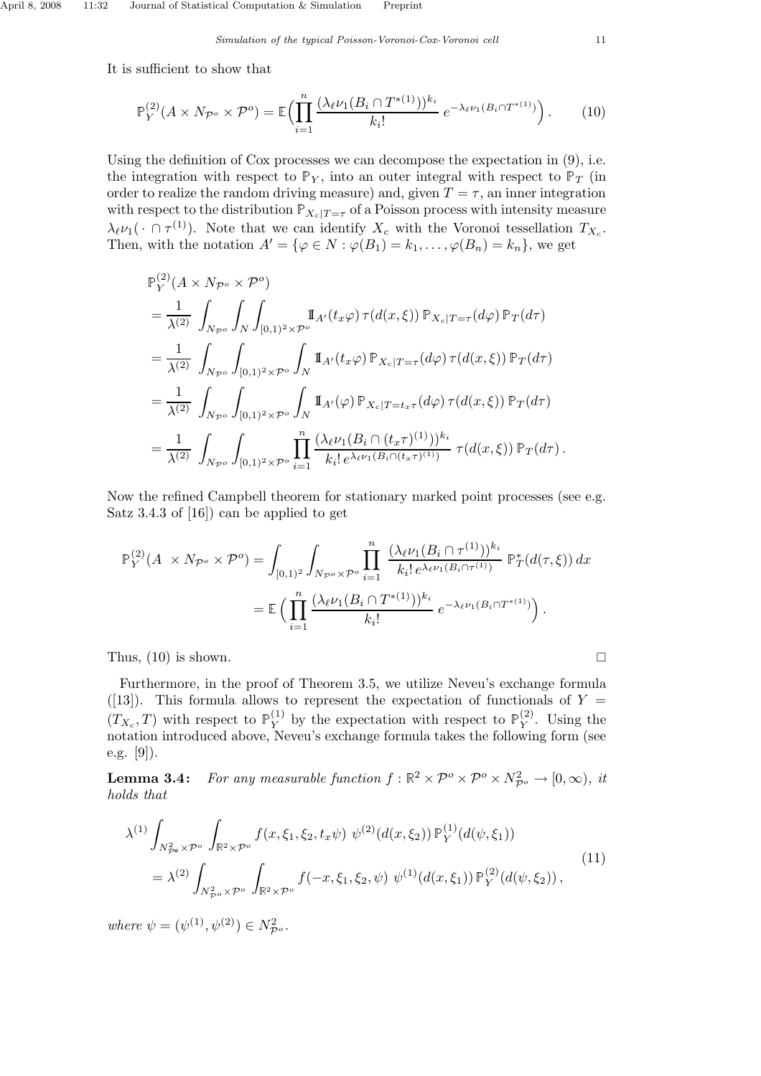It is sufficient to show that

$$
\mathbb{P}_{Y}^{(2)}(A \times N_{\mathcal{P}^o} \times \mathcal{P}^o) = \mathbb{E}\Big(\prod_{i=1}^n \frac{(\lambda_\ell \nu_1(B_i \cap T^{*(1)}))^{k_i}}{k_i!} e^{-\lambda_\ell \nu_1(B_i \cap T^{*(1)})}\Big). \tag{10}
$$

Using the definition of Cox processes we can decompose the expectation in (9), i.e. the integration with respect to  $\mathbb{P}_Y$ , into an outer integral with respect to  $\mathbb{P}_T$  (in order to realize the random driving measure) and, given  $T = \tau$ , an inner integration with respect to the distribution  $\mathbb{P}_{X_c|T=\tau}$  of a Poisson process with intensity measure  $\lambda_{\ell} \nu_1(\cdot \cap \tau^{(1)})$ . Note that we can identify  $X_c$  with the Voronoi tessellation  $T_{X_c}$ . Then, with the notation  $A' = \{ \varphi \in N : \varphi(B_1) = k_1, \ldots, \varphi(B_n) = k_n \}$ , we get

$$
\mathbb{P}_{Y}^{(2)}(A \times N_{\mathcal{P}^o} \times \mathcal{P}^o)
$$
\n
$$
= \frac{1}{\lambda^{(2)}} \int_{N_{\mathcal{P}^o}} \int_{N} \int_{[0,1)^2 \times \mathcal{P}^o} \mathbb{I}_{A'}(t_x \varphi) \tau(d(x,\xi)) \mathbb{P}_{X_c|T=\tau}(d\varphi) \mathbb{P}_T(d\tau)
$$
\n
$$
= \frac{1}{\lambda^{(2)}} \int_{N_{\mathcal{P}^o}} \int_{[0,1)^2 \times \mathcal{P}^o} \int_{N} \mathbb{I}_{A'}(t_x \varphi) \mathbb{P}_{X_c|T=\tau}(d\varphi) \tau(d(x,\xi)) \mathbb{P}_T(d\tau)
$$
\n
$$
= \frac{1}{\lambda^{(2)}} \int_{N_{\mathcal{P}^o}} \int_{[0,1)^2 \times \mathcal{P}^o} \int_{N} \mathbb{I}_{A'}(\varphi) \mathbb{P}_{X_c|T=t_x\tau}(d\varphi) \tau(d(x,\xi)) \mathbb{P}_T(d\tau)
$$
\n
$$
= \frac{1}{\lambda^{(2)}} \int_{N_{\mathcal{P}^o}} \int_{[0,1)^2 \times \mathcal{P}^o} \prod_{i=1}^n \frac{(\lambda_{\ell} \nu_1(B_i \cap (t_x\tau)^{(1)}))^{k_i}}{k_i! e^{\lambda_{\ell} \nu_1(B_i \cap (t_x\tau)^{(1)})}} \tau(d(x,\xi)) \mathbb{P}_T(d\tau).
$$

Now the refined Campbell theorem for stationary marked point processes (see e.g. Satz 3.4.3 of [16]) can be applied to get

$$
\mathbb{P}_{Y}^{(2)}(A \times N_{\mathcal{P}^o} \times \mathcal{P}^o) = \int_{[0,1)^2} \int_{N_{\mathcal{P}^o} \times \mathcal{P}^o} \prod_{i=1}^n \frac{(\lambda_\ell \nu_1(B_i \cap \tau^{(1)}))^{k_i}}{k_i! e^{\lambda_\ell \nu_1(B_i \cap \tau^{(1)})}} \mathbb{P}_T^*(d(\tau,\xi)) dx
$$
  
= 
$$
\mathbb{E} \Big( \prod_{i=1}^n \frac{(\lambda_\ell \nu_1(B_i \cap T^{*(1)}))^{k_i}}{k_i!} e^{-\lambda_\ell \nu_1(B_i \cap T^{*(1)})} \Big).
$$

Thus,  $(10)$  is shown.

Furthermore, in the proof of Theorem 3.5, we utilize Neveu's exchange formula ([13]). This formula allows to represent the expectation of functionals of  $Y =$  $(T_{X_c}, T)$  with respect to  $\mathbb{P}_Y^{(1)}$  $_Y^{(1)}$  by the expectation with respect to  $\mathbb{P}_Y^{(2)}$  $Y^2$ . Using the notation introduced above, Neveu's exchange formula takes the following form (see e.g. [9]).

**Lemma 3.4:** For any measurable function  $f : \mathbb{R}^2 \times \mathcal{P}^o \times \mathcal{P}^o \times N_{\mathcal{P}^o}^2 \to [0, \infty)$ , it holds that

$$
\lambda^{(1)} \int_{N_{\mathcal{P}^{\circ}}^2 \times \mathcal{P}^{\circ}} \int_{\mathbb{R}^2 \times \mathcal{P}^{\circ}} f(x, \xi_1, \xi_2, t_x \psi) \ \psi^{(2)}(d(x, \xi_2)) \mathbb{P}_Y^{(1)}(d(\psi, \xi_1))
$$
  
= 
$$
\lambda^{(2)} \int_{N_{\mathcal{P}^{\circ}}^2 \times \mathcal{P}^{\circ}} \int_{\mathbb{R}^2 \times \mathcal{P}^{\circ}} f(-x, \xi_1, \xi_2, \psi) \ \psi^{(1)}(d(x, \xi_1)) \mathbb{P}_Y^{(2)}(d(\psi, \xi_2)),
$$
 (11)

where  $\psi = (\psi^{(1)}, \psi^{(2)}) \in N_{\mathcal{P}^o}^2$ .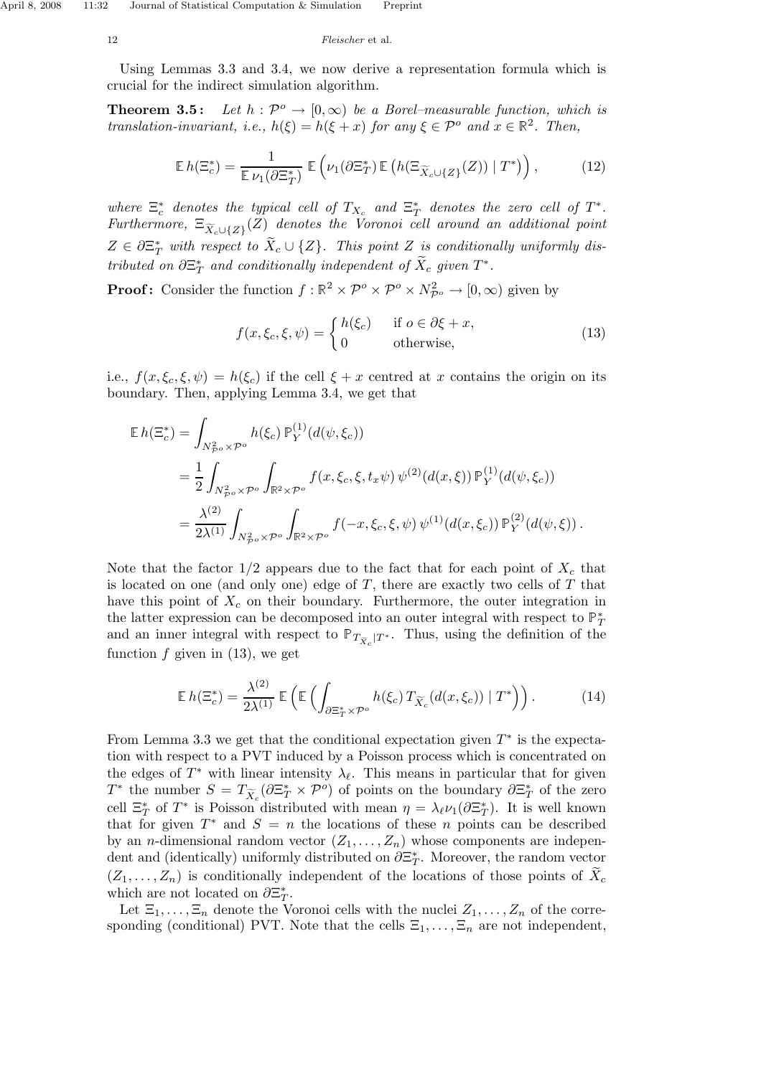Using Lemmas 3.3 and 3.4, we now derive a representation formula which is crucial for the indirect simulation algorithm.

**Theorem 3.5:** Let  $h : \mathcal{P}^{\circ} \to [0, \infty)$  be a Borel–measurable function, which is translation-invariant, i.e.,  $h(\xi) = h(\xi + x)$  for any  $\xi \in \mathcal{P}^o$  and  $x \in \mathbb{R}^2$ . Then,

$$
\mathbb{E} h(\Xi_c^*) = \frac{1}{\mathbb{E} \nu_1(\partial \Xi_T^*)} \mathbb{E} \left( \nu_1(\partial \Xi_T^*) \mathbb{E} \left( h(\Xi_{\widetilde{X}_c \cup \{Z\}}(Z)) \mid T^* \right) \right), \tag{12}
$$

where  $\Xi_c^*$  denotes the typical cell of  $T_{X_c}$  and  $\Xi_T^*$  denotes the zero cell of  $T^*$ . Furthermore,  $\Xi_{\widetilde{X}_c\cup \{Z\}}(Z)$  denotes the Voronoi cell around an additional point  $Z \in \partial \Xi^*_{T}$  with respect to  $\widetilde{X}_c \cup \{Z\}$ . This point Z is conditionally uniformly distributed on  $\partial \Xi_T^*$  and conditionally independent of  $\tilde{X}_c$  given  $T^*$ .

**Proof:** Consider the function  $f : \mathbb{R}^2 \times \mathcal{P}^o \times \mathcal{P}^o \times N_{\mathcal{P}^o}^2 \to [0, \infty)$  given by

$$
f(x,\xi_c,\xi,\psi) = \begin{cases} h(\xi_c) & \text{if } o \in \partial \xi + x, \\ 0 & \text{otherwise,} \end{cases}
$$
 (13)

i.e.,  $f(x,\xi_c,\xi,\psi) = h(\xi_c)$  if the cell  $\xi + x$  centred at x contains the origin on its boundary. Then, applying Lemma 3.4, we get that

$$
\mathbb{E} h(\Xi_c^*) = \int_{N_{\mathcal{P}^o}^2 \times \mathcal{P}^o} h(\xi_c) \mathbb{P}_Y^{(1)}(d(\psi, \xi_c))
$$
  
= 
$$
\frac{1}{2} \int_{N_{\mathcal{P}^o}^2 \times \mathcal{P}^o} \int_{\mathbb{R}^2 \times \mathcal{P}^o} f(x, \xi_c, \xi, t_x \psi) \psi^{(2)}(d(x, \xi)) \mathbb{P}_Y^{(1)}(d(\psi, \xi_c))
$$
  
= 
$$
\frac{\lambda^{(2)}}{2\lambda^{(1)}} \int_{N_{\mathcal{P}^o}^2 \times \mathcal{P}^o} \int_{\mathbb{R}^2 \times \mathcal{P}^o} f(-x, \xi_c, \xi, \psi) \psi^{(1)}(d(x, \xi_c)) \mathbb{P}_Y^{(2)}(d(\psi, \xi)).
$$

Note that the factor  $1/2$  appears due to the fact that for each point of  $X_c$  that is located on one (and only one) edge of  $T$ , there are exactly two cells of  $T$  that have this point of  $X_c$  on their boundary. Furthermore, the outer integration in the latter expression can be decomposed into an outer integral with respect to  $\mathbb{P}^*_T$ and an inner integral with respect to  $\mathbb{P}_{T_{\widetilde{X}_c}|T^*}$ . Thus, using the definition of the function  $f$  given in (13), we get

$$
\mathbb{E} h(\Xi_c^*) = \frac{\lambda^{(2)}}{2\lambda^{(1)}} \mathbb{E} \left( \mathbb{E} \left( \int_{\partial \Xi_T^* \times \mathcal{P}^o} h(\xi_c) \, T_{\widetilde{X}_c}(d(x,\xi_c)) \mid T^* \right) \right). \tag{14}
$$

From Lemma 3.3 we get that the conditional expectation given  $T^*$  is the expectation with respect to a PVT induced by a Poisson process which is concentrated on the edges of  $T^*$  with linear intensity  $\lambda_{\ell}$ . This means in particular that for given T<sup>\*</sup> the number  $S = T_{\widetilde{X}_c}(\partial \Xi_T^* \times \mathcal{P}^o)$  of points on the boundary  $\partial \Xi_T^*$  of the zero cell  $\Xi^*_T$  of  $T^*$  is Poisson distributed with mean  $\eta = \lambda_\ell \nu_1(\partial \Xi^*_T)$ . It is well known that for given  $T^*$  and  $S = n$  the locations of these n points can be described by an *n*-dimensional random vector  $(Z_1, \ldots, Z_n)$  whose components are independent and (identically) uniformly distributed on  $\partial \Xi_T^*$ . Moreover, the random vector  $(Z_1,\ldots,Z_n)$  is conditionally independent of the locations of those points of  $X_c$ which are not located on  $\partial \Xi_T^*$ .

Let  $\Xi_1,\ldots,\Xi_n$  denote the Voronoi cells with the nuclei  $Z_1,\ldots,Z_n$  of the corresponding (conditional) PVT. Note that the cells  $\Xi_1,\ldots,\Xi_n$  are not independent,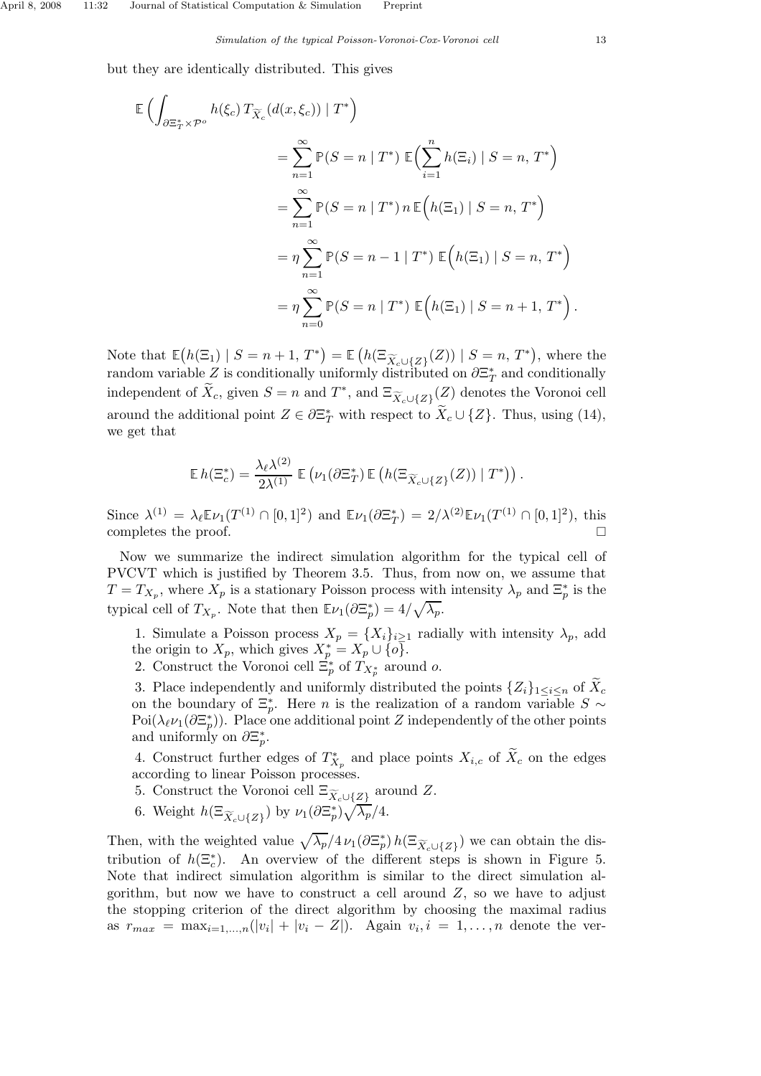but they are identically distributed. This gives

$$
\mathbb{E}\left(\int_{\partial \Xi_T^* \times \mathcal{P}^o} h(\xi_c) T_{\widetilde{X}_c}(d(x,\xi_c)) \mid T^*\right)
$$
\n
$$
= \sum_{n=1}^{\infty} \mathbb{P}(S = n \mid T^*) \mathbb{E}\left(\sum_{i=1}^n h(\Xi_i) \mid S = n, T^*\right)
$$
\n
$$
= \sum_{n=1}^{\infty} \mathbb{P}(S = n \mid T^*) n \mathbb{E}\left(h(\Xi_1) \mid S = n, T^*\right)
$$
\n
$$
= \eta \sum_{n=1}^{\infty} \mathbb{P}(S = n - 1 \mid T^*) \mathbb{E}\left(h(\Xi_1) \mid S = n, T^*\right)
$$
\n
$$
= \eta \sum_{n=0}^{\infty} \mathbb{P}(S = n \mid T^*) \mathbb{E}\left(h(\Xi_1) \mid S = n + 1, T^*\right).
$$

Note that  $\mathbb{E}(h(\Xi_1) | S = n+1, T^*) = \mathbb{E}(h(\Xi_{\widetilde{X}_c\cup\{Z\}}(Z)) | S = n, T^*)$ , where the random variable Z is conditionally uniformly distributed on  $\partial \Xi^*_T$  and conditionally independent of  $\tilde{X}_c$ , given  $S = n$  and  $T^*$ , and  $\Xi_{\widetilde{X}_c \cup \{Z\}}(Z)$  denotes the Voronoi cell around the additional point  $Z \in \partial \Xi_T^*$  with respect to  $\tilde{X}_c \cup \{Z\}$ . Thus, using (14), we get that

$$
\mathbb{E} h(\Xi_c^*) = \frac{\lambda_{\ell} \lambda^{(2)}}{2\lambda^{(1)}} \mathbb{E} \left( \nu_1(\partial \Xi_T^*) \mathbb{E} \left( h(\Xi_{\widetilde{X}_c \cup \{Z\}}(Z)) \mid T^* \right) \right).
$$

Since  $\lambda^{(1)} = \lambda_{\ell} \mathbb{E} \nu_1(T^{(1)} \cap [0,1]^2)$  and  $\mathbb{E} \nu_1(\partial \Xi_T^*) = 2/\lambda^{(2)} \mathbb{E} \nu_1(T^{(1)} \cap [0,1]^2)$ , this completes the proof.  $\Box$ 

Now we summarize the indirect simulation algorithm for the typical cell of PVCVT which is justified by Theorem 3.5. Thus, from now on, we assume that  $T = T_{X_p}$ , where  $X_p$  is a stationary Poisson process with intensity  $\lambda_p$  and  $\Xi_p^*$  is the typical cell of  $T_{X_p}$ . Note that then  $\mathbb{E}\nu_1(\partial \Xi_p^*) = 4/\sqrt{\lambda_p}$ .

1. Simulate a Poisson process  $X_p = \{X_i\}_{i\geq 1}$  radially with intensity  $\lambda_p$ , add the origin to  $X_p$ , which gives  $X_p^* = X_p \cup \{o\}.$ 

2. Construct the Voronoi cell  $\Xi_p^*$  of  $T_{X_p^*}$  around o.

3. Place independently and uniformly distributed the points  $\{Z_i\}_{1\leq i\leq n}$  of  $X_c$ on the boundary of  $\Xi_p^*$ . Here *n* is the realization of a random variable  $S \sim \Xi_p$ . Poi( $\lambda_{\ell} \nu_1(\partial \Xi_p^*)$ ). Place one additional point Z independently of the other points and uniformly on  $\partial \Xi_p^*$ .

4. Construct further edges of  $T_{X_p}^*$  and place points  $X_{i,c}$  of  $\tilde{X}_c$  on the edges according to linear Poisson processes.

- 5. Construct the Voronoi cell  $\Xi_{\widetilde{X}_c\cup \{\underline{Z}\}}$  around  $Z$ .
- 6. Weight  $h(\Xi_{\widetilde{X}_c\cup\{Z\}})$  by  $\nu_1(\partial \Xi_p^*)\sqrt{\lambda_p}/4$ .

Then, with the weighted value  $\sqrt{\lambda_p}/4\nu_1(\partial \Xi_p^*) h(\Xi_{\widetilde{X}_c\cup\{Z\}})$  we can obtain the distribution of  $h(\Xi_c^*)$ . An overview of the different steps is shown in Figure 5. Note that indirect simulation algorithm is similar to the direct simulation algorithm, but now we have to construct a cell around  $Z$ , so we have to adjust the stopping criterion of the direct algorithm by choosing the maximal radius as  $r_{max} = \max_{i=1,\dots,n}(|v_i| + |v_i - Z|)$ . Again  $v_i, i = 1,\dots,n$  denote the ver-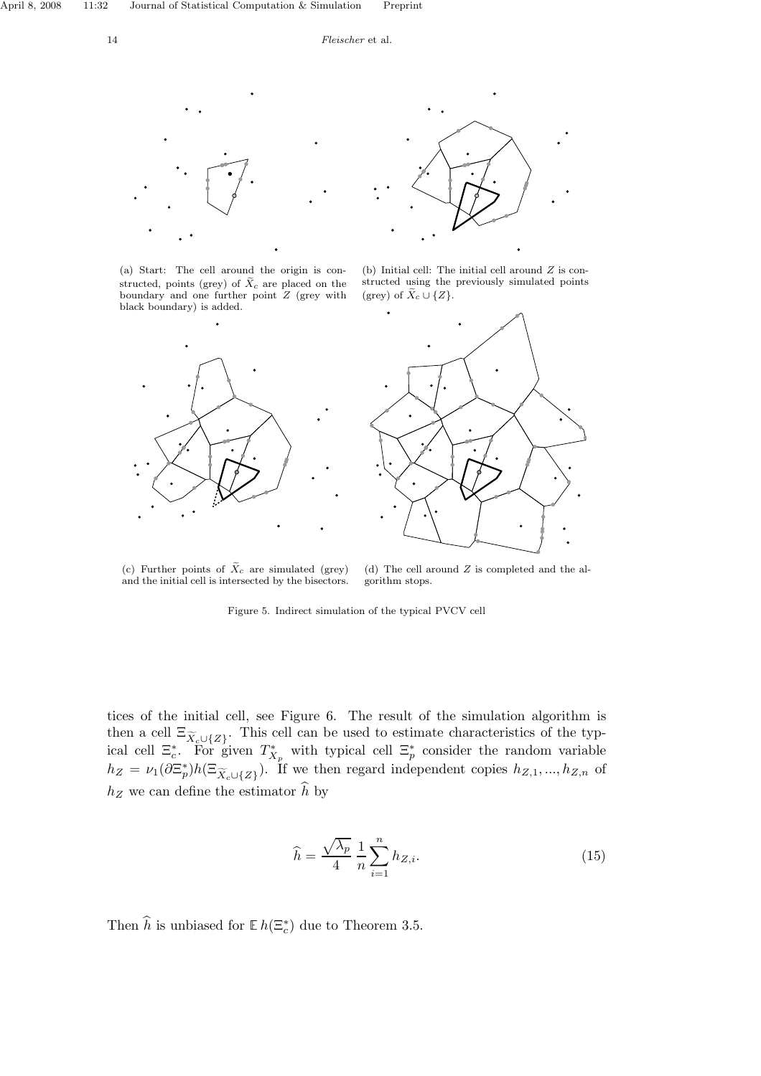

(a) Start: The cell around the origin is constructed, points (grey) of  $\tilde X_c$  are placed on the boundary and one further point Z (grey with black boundary) is added.





(b) Initial cell: The initial cell around  $Z$  is constructed using the previously simulated points (grey) of  $\widetilde{X}_c \cup \{Z\}$ .



(c) Further points of  $\widetilde{X}_c$  are simulated (grey) and the initial cell is intersected by the bisectors.

(d) The cell around Z is completed and the algorithm stops.

Figure 5. Indirect simulation of the typical PVCV cell

tices of the initial cell, see Figure 6. The result of the simulation algorithm is then a cell  $\Xi_{\widetilde{X}_c\cup\{Z\}}$ . This cell can be used to estimate characteristics of the typical cell  $\Xi_c^*$ . For given  $T_{X_p}^*$  with typical cell  $\Xi_p^*$  consider the random variable  $h_Z = \nu_1(\partial \Xi_p^*) h(\Xi_{\widetilde{X}_c \cup \{Z\}})$ . If we then regard independent copies  $h_{Z,1},...,h_{Z,n}$  of  $h_Z$  we can define the estimator  $\hat{h}$  by

$$
\widehat{h} = \frac{\sqrt{\lambda_p}}{4} \frac{1}{n} \sum_{i=1}^{n} h_{Z,i}.
$$
\n(15)

Then  $\hat{h}$  is unbiased for  $\mathbb{E} h(\Xi_c^*)$  due to Theorem 3.5.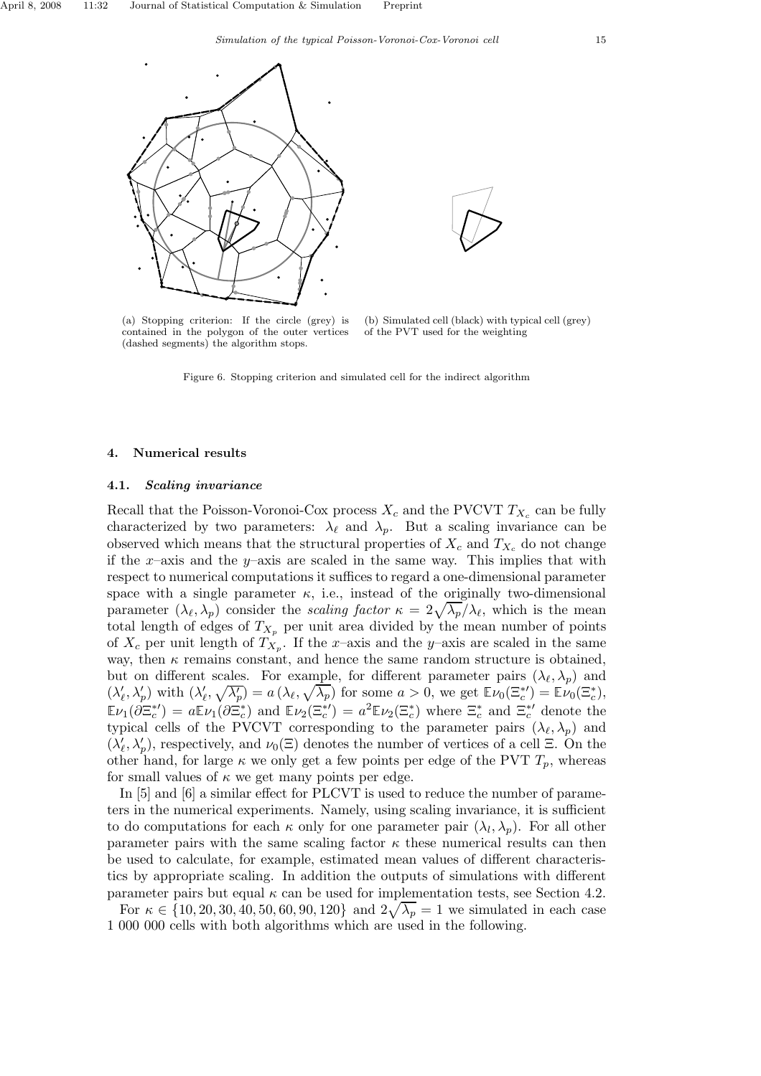



(b) Simulated cell (black) with typical cell (grey) of the PVT used for the weighting

Figure 6. Stopping criterion and simulated cell for the indirect algorithm

#### 4. Numerical results

#### 4.1. Scaling invariance

Recall that the Poisson-Voronoi-Cox process  $X_c$  and the PVCVT  $T_{X_c}$  can be fully characterized by two parameters:  $\lambda_{\ell}$  and  $\lambda_{p}$ . But a scaling invariance can be observed which means that the structural properties of  $X_c$  and  $T_{X_c}$  do not change if the x–axis and the y–axis are scaled in the same way. This implies that with respect to numerical computations it suffices to regard a one-dimensional parameter space with a single parameter  $\kappa$ , i.e., instead of the originally two-dimensional parameter  $(\lambda_{\ell}, \lambda_{p})$  consider the scaling factor  $\kappa = 2\sqrt{\lambda_{p}}/\lambda_{\ell}$ , which is the mean total length of edges of  $T_{X_p}$  per unit area divided by the mean number of points of  $X_c$  per unit length of  $T_{X_p}$ . If the x-axis and the y-axis are scaled in the same way, then  $\kappa$  remains constant, and hence the same random structure is obtained, but on different scales. For example, for different parameter pairs  $(\lambda_{\ell}, \lambda_{p})$  and  $(\lambda'_{\ell}, \lambda'_{p})$  with  $(\lambda'_{\ell}, \sqrt{\lambda'_{p}}) = a(\lambda_{\ell}, \sqrt{\lambda_{p}})$  for some  $a > 0$ , we get  $\mathbb{E} \nu_{0}(\Xi_{c}^{*}) = \mathbb{E} \nu_{0}(\Xi_{c}^{*})$ ,  $\mathbb{E}\nu_1(\partial \Xi_c^{*}) = a \mathbb{E}\nu_1(\partial \Xi_c^{*})$  and  $\mathbb{E}\nu_2(\Xi_c^{*}) = a^2 \mathbb{E}\nu_2(\Xi_c^{*})$  where  $\Xi_c^{*}$  and  $\Xi_c^{*'}$  denote the typical cells of the PVCVT corresponding to the parameter pairs  $(\lambda_{\ell}, \lambda_p)$  and  $(\lambda'_\ell, \lambda'_p)$ , respectively, and  $\nu_0(\Xi)$  denotes the number of vertices of a cell  $\Xi$ . On the other hand, for large  $\kappa$  we only get a few points per edge of the PVT  $T_p$ , whereas for small values of  $\kappa$  we get many points per edge.

In [5] and [6] a similar effect for PLCVT is used to reduce the number of parameters in the numerical experiments. Namely, using scaling invariance, it is sufficient to do computations for each  $\kappa$  only for one parameter pair  $(\lambda_l, \lambda_p)$ . For all other parameter pairs with the same scaling factor  $\kappa$  these numerical results can then be used to calculate, for example, estimated mean values of different characteristics by appropriate scaling. In addition the outputs of simulations with different parameter pairs but equal  $\kappa$  can be used for implementation tests, see Section 4.2.

For  $\kappa \in \{10, 20, 30, 40, 50, 60, 90, 120\}$  and  $2\sqrt{\lambda_p} = 1$  we simulated in each case 1 000 000 cells with both algorithms which are used in the following.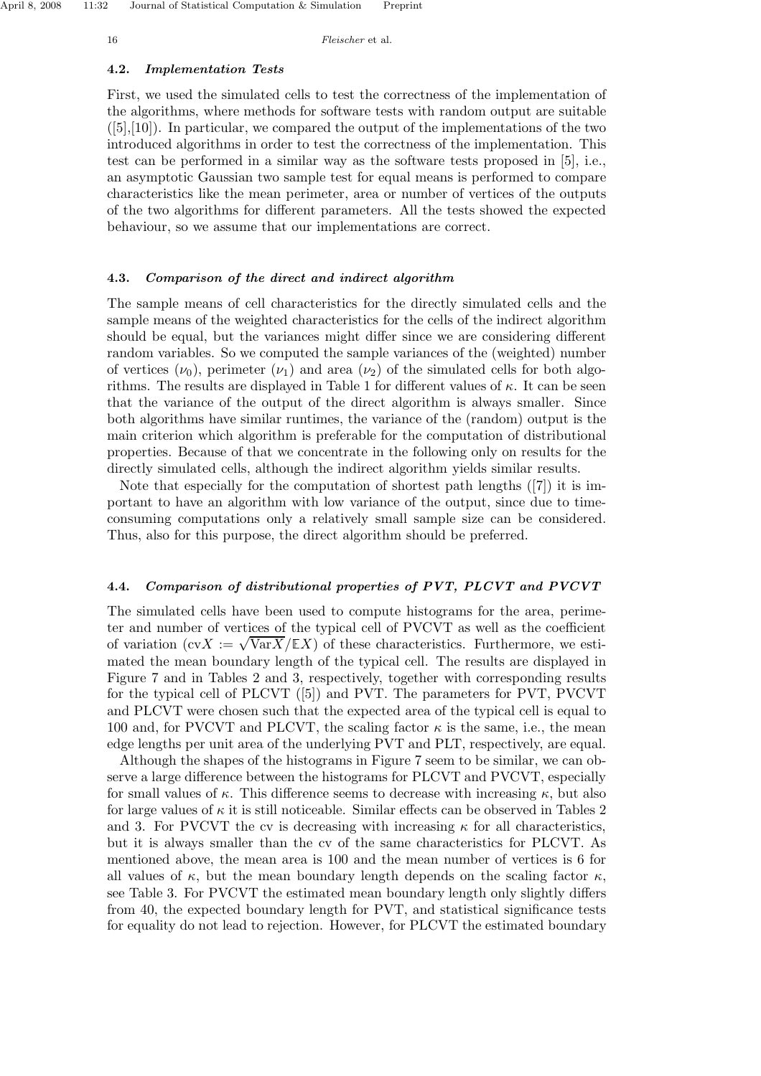#### 4.2. Implementation Tests

First, we used the simulated cells to test the correctness of the implementation of the algorithms, where methods for software tests with random output are suitable  $([5],[10])$ . In particular, we compared the output of the implementations of the two introduced algorithms in order to test the correctness of the implementation. This test can be performed in a similar way as the software tests proposed in [5], i.e., an asymptotic Gaussian two sample test for equal means is performed to compare characteristics like the mean perimeter, area or number of vertices of the outputs of the two algorithms for different parameters. All the tests showed the expected behaviour, so we assume that our implementations are correct.

#### 4.3. Comparison of the direct and indirect algorithm

The sample means of cell characteristics for the directly simulated cells and the sample means of the weighted characteristics for the cells of the indirect algorithm should be equal, but the variances might differ since we are considering different random variables. So we computed the sample variances of the (weighted) number of vertices  $(\nu_0)$ , perimeter  $(\nu_1)$  and area  $(\nu_2)$  of the simulated cells for both algorithms. The results are displayed in Table 1 for different values of  $\kappa$ . It can be seen that the variance of the output of the direct algorithm is always smaller. Since both algorithms have similar runtimes, the variance of the (random) output is the main criterion which algorithm is preferable for the computation of distributional properties. Because of that we concentrate in the following only on results for the directly simulated cells, although the indirect algorithm yields similar results.

Note that especially for the computation of shortest path lengths ([7]) it is important to have an algorithm with low variance of the output, since due to timeconsuming computations only a relatively small sample size can be considered. Thus, also for this purpose, the direct algorithm should be preferred.

#### 4.4. Comparison of distributional properties of PVT, PLCVT and PVCVT

The simulated cells have been used to compute histograms for the area, perimeter and number of vertices of the typical cell of PVCVT as well as the coefficient of variation  $\left(\mathrm{cv}X\right) := \sqrt{\mathrm{Var}X}/\mathbb{E}X$  of these characteristics. Furthermore, we estimated the mean boundary length of the typical cell. The results are displayed in Figure 7 and in Tables 2 and 3, respectively, together with corresponding results for the typical cell of PLCVT ([5]) and PVT. The parameters for PVT, PVCVT and PLCVT were chosen such that the expected area of the typical cell is equal to 100 and, for PVCVT and PLCVT, the scaling factor  $\kappa$  is the same, i.e., the mean edge lengths per unit area of the underlying PVT and PLT, respectively, are equal.

Although the shapes of the histograms in Figure 7 seem to be similar, we can observe a large difference between the histograms for PLCVT and PVCVT, especially for small values of  $\kappa$ . This difference seems to decrease with increasing  $\kappa$ , but also for large values of  $\kappa$  it is still noticeable. Similar effects can be observed in Tables 2 and 3. For PVCVT the cv is decreasing with increasing  $\kappa$  for all characteristics, but it is always smaller than the cv of the same characteristics for PLCVT. As mentioned above, the mean area is 100 and the mean number of vertices is 6 for all values of  $\kappa$ , but the mean boundary length depends on the scaling factor  $\kappa$ , see Table 3. For PVCVT the estimated mean boundary length only slightly differs from 40, the expected boundary length for PVT, and statistical significance tests for equality do not lead to rejection. However, for PLCVT the estimated boundary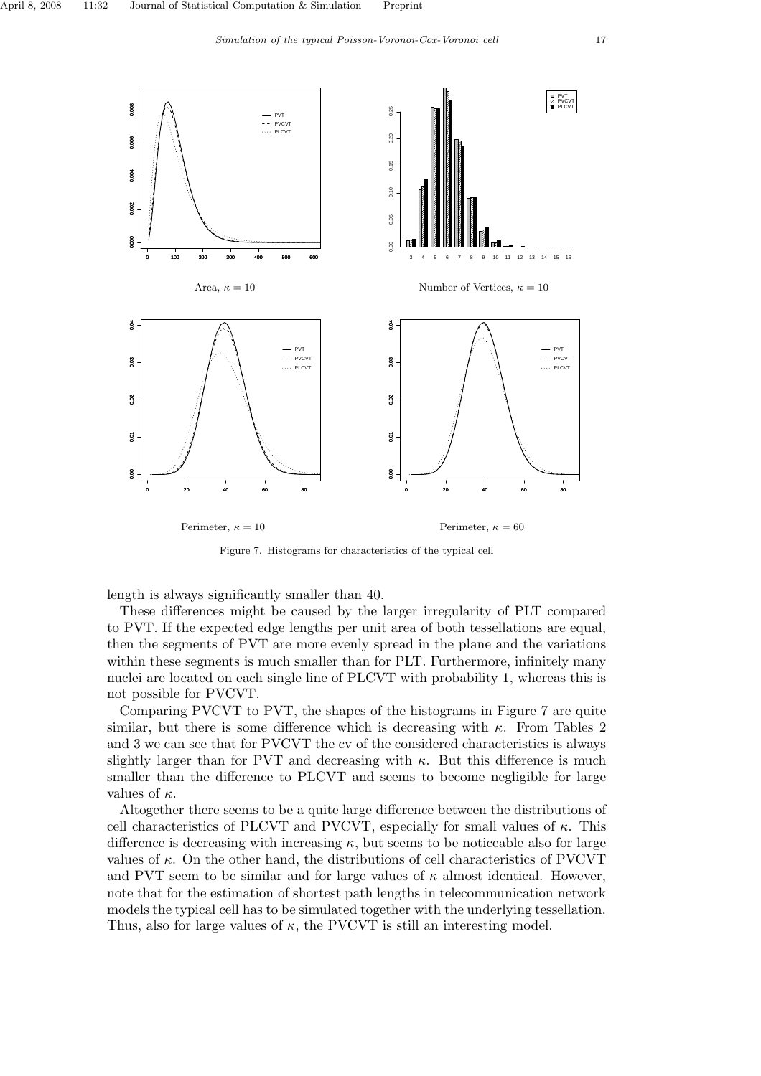

Figure 7. Histograms for characteristics of the typical cell

length is always significantly smaller than 40.

These differences might be caused by the larger irregularity of PLT compared to PVT. If the expected edge lengths per unit area of both tessellations are equal, then the segments of PVT are more evenly spread in the plane and the variations within these segments is much smaller than for PLT. Furthermore, infinitely many nuclei are located on each single line of PLCVT with probability 1, whereas this is not possible for PVCVT.

Comparing PVCVT to PVT, the shapes of the histograms in Figure 7 are quite similar, but there is some difference which is decreasing with  $\kappa$ . From Tables 2 and 3 we can see that for PVCVT the cv of the considered characteristics is always slightly larger than for PVT and decreasing with  $\kappa$ . But this difference is much smaller than the difference to PLCVT and seems to become negligible for large values of  $\kappa$ .

Altogether there seems to be a quite large difference between the distributions of cell characteristics of PLCVT and PVCVT, especially for small values of  $\kappa$ . This difference is decreasing with increasing  $\kappa$ , but seems to be noticeable also for large values of  $\kappa$ . On the other hand, the distributions of cell characteristics of PVCVT and PVT seem to be similar and for large values of  $\kappa$  almost identical. However, note that for the estimation of shortest path lengths in telecommunication network models the typical cell has to be simulated together with the underlying tessellation. Thus, also for large values of  $\kappa$ , the PVCVT is still an interesting model.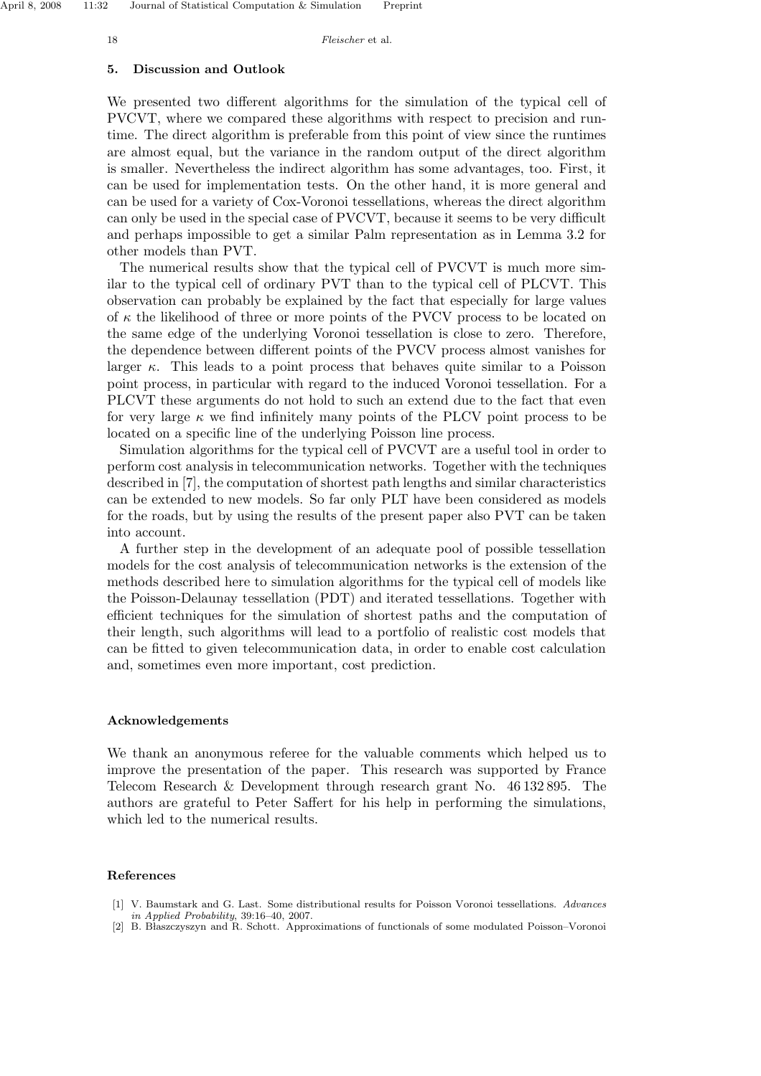#### 5. Discussion and Outlook

We presented two different algorithms for the simulation of the typical cell of PVCVT, where we compared these algorithms with respect to precision and runtime. The direct algorithm is preferable from this point of view since the runtimes are almost equal, but the variance in the random output of the direct algorithm is smaller. Nevertheless the indirect algorithm has some advantages, too. First, it can be used for implementation tests. On the other hand, it is more general and can be used for a variety of Cox-Voronoi tessellations, whereas the direct algorithm can only be used in the special case of PVCVT, because it seems to be very difficult and perhaps impossible to get a similar Palm representation as in Lemma 3.2 for other models than PVT.

The numerical results show that the typical cell of PVCVT is much more similar to the typical cell of ordinary PVT than to the typical cell of PLCVT. This observation can probably be explained by the fact that especially for large values of  $\kappa$  the likelihood of three or more points of the PVCV process to be located on the same edge of the underlying Voronoi tessellation is close to zero. Therefore, the dependence between different points of the PVCV process almost vanishes for larger  $\kappa$ . This leads to a point process that behaves quite similar to a Poisson point process, in particular with regard to the induced Voronoi tessellation. For a PLCVT these arguments do not hold to such an extend due to the fact that even for very large  $\kappa$  we find infinitely many points of the PLCV point process to be located on a specific line of the underlying Poisson line process.

Simulation algorithms for the typical cell of PVCVT are a useful tool in order to perform cost analysis in telecommunication networks. Together with the techniques described in [7], the computation of shortest path lengths and similar characteristics can be extended to new models. So far only PLT have been considered as models for the roads, but by using the results of the present paper also PVT can be taken into account.

A further step in the development of an adequate pool of possible tessellation models for the cost analysis of telecommunication networks is the extension of the methods described here to simulation algorithms for the typical cell of models like the Poisson-Delaunay tessellation (PDT) and iterated tessellations. Together with efficient techniques for the simulation of shortest paths and the computation of their length, such algorithms will lead to a portfolio of realistic cost models that can be fitted to given telecommunication data, in order to enable cost calculation and, sometimes even more important, cost prediction.

#### Acknowledgements

We thank an anonymous referee for the valuable comments which helped us to improve the presentation of the paper. This research was supported by France Telecom Research & Development through research grant No. 46 132 895. The authors are grateful to Peter Saffert for his help in performing the simulations, which led to the numerical results.

#### References

- [1] V. Baumstark and G. Last. Some distributional results for Poisson Voronoi tessellations. Advances in Applied Probability, 39:16–40, 2007.
- [2] B. Błaszczyszyn and R. Schott. Approximations of functionals of some modulated Poisson-Voronoi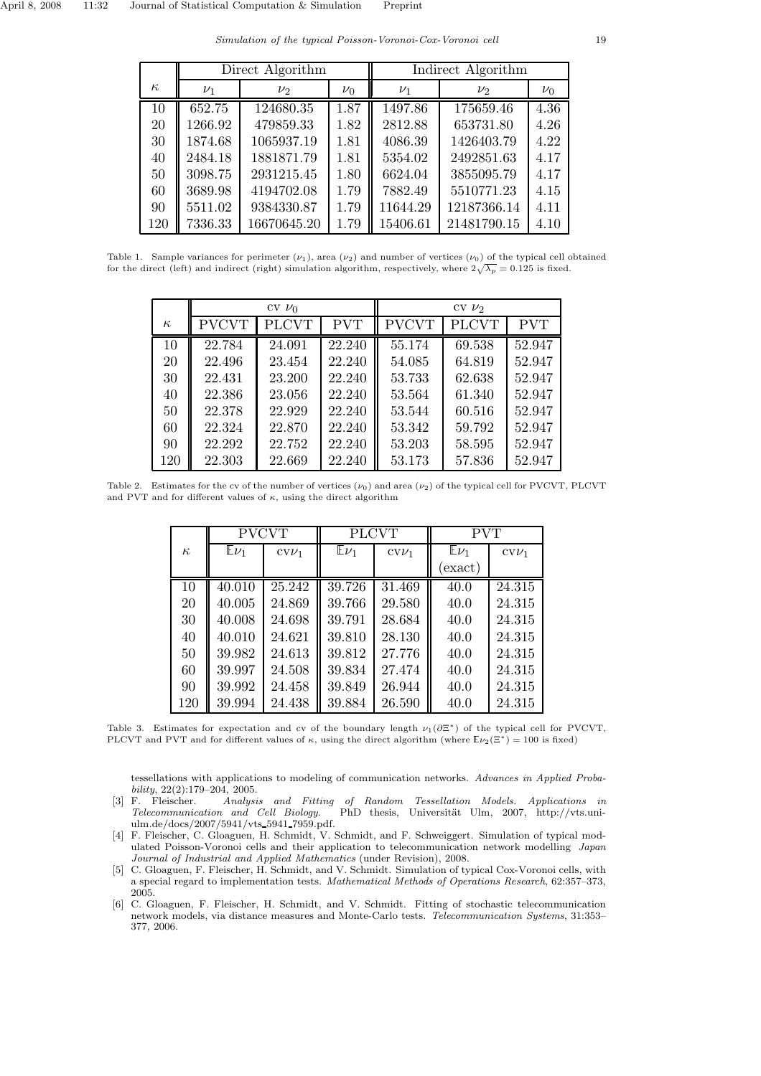Simulation of the typical Poisson-Voronoi-Cox-Voronoi cell 19

|          | Direct Algorithm |             |         | Indirect Algorithm |             |         |
|----------|------------------|-------------|---------|--------------------|-------------|---------|
| $\kappa$ | $\nu_1$          | $\nu_2$     | $\nu_0$ | $\nu_1$            | $\nu_2$     | $\nu_0$ |
| 10       | 652.75           | 124680.35   | 1.87    | 1497.86            | 175659.46   | 4.36    |
| 20       | 1266.92          | 479859.33   | 1.82    | 2812.88            | 653731.80   | 4.26    |
| 30       | 1874.68          | 1065937.19  | 1.81    | 4086.39            | 1426403.79  | 4.22    |
| 40       | 2484.18          | 1881871.79  | 1.81    | 5354.02            | 2492851.63  | 4.17    |
| 50       | 3098.75          | 2931215.45  | 1.80    | 6624.04            | 3855095.79  | 4.17    |
| 60       | 3689.98          | 4194702.08  | 1.79    | 7882.49            | 5510771.23  | 4.15    |
| 90       | 5511.02          | 9384330.87  | 1.79    | 11644.29           | 12187366.14 | 4.11    |
| 120      | 7336.33          | 16670645.20 | 1.79    | 15406.61           | 21481790.15 | 4.10    |

Table 1. Sample variances for perimeter  $(\nu_1)$ , area  $(\nu_2)$  and number of vertices  $(\nu_0)$  of the typical cell obtained for the direct (left) and indirect (right) simulation algorithm, respectively, where  $2\sqrt{\lambda_p} = 0.125$  is fixed.

|          | $CV$ $\nu_0$ |              |                     | $CV$ $\nu_2$ |              |            |
|----------|--------------|--------------|---------------------|--------------|--------------|------------|
| $\kappa$ | <b>PVCVT</b> | <b>PLCVT</b> | <b>PVT</b>          | <b>PVCVT</b> | <b>PLCVT</b> | <b>PVT</b> |
| 10       | 22.784       | 24.091       | $\overline{22.240}$ | 55.174       | 69.538       | 52.947     |
| 20       | 22.496       | 23.454       | 22.240              | 54.085       | 64.819       | 52.947     |
| 30       | 22.431       | 23.200       | 22.240              | 53.733       | 62.638       | 52.947     |
| 40       | 22.386       | 23.056       | 22.240              | 53.564       | 61.340       | 52.947     |
| 50       | 22.378       | 22.929       | 22.240              | 53.544       | 60.516       | 52.947     |
| 60       | 22.324       | 22.870       | 22.240              | 53.342       | 59.792       | 52.947     |
| 90       | 22.292       | 22.752       | 22.240              | 53.203       | 58.595       | 52.947     |
| 120      | 22.303       | 22.669       | 22.240              | 53.173       | 57.836       | 52.947     |

Table 2. Estimates for the cv of the number of vertices  $(\nu_0)$  and area  $(\nu_2)$  of the typical cell for PVCVT, PLCVT and PVT and for different values of  $\kappa$ , using the direct algorithm

|          | <b>PVCVT</b> |         | <b>PLCVT</b> |         | <b>PVT</b> |         |
|----------|--------------|---------|--------------|---------|------------|---------|
| $\kappa$ | $E\nu_1$     | $CVU_1$ | $E\nu_1$     | $CVU_1$ | $E\nu_1$   | $CVU_1$ |
|          |              |         |              |         | exact)     |         |
| 10       | 40.010       | 25.242  | 39.726       | 31.469  | 40.0       | 24.315  |
| 20       | 40.005       | 24.869  | 39.766       | 29.580  | 40.0       | 24.315  |
| 30       | 40.008       | 24.698  | 39.791       | 28.684  | 40.0       | 24.315  |
| 40       | 40.010       | 24.621  | 39.810       | 28.130  | 40.0       | 24.315  |
| 50       | 39.982       | 24.613  | 39.812       | 27.776  | 40.0       | 24.315  |
| 60       | 39.997       | 24.508  | 39.834       | 27.474  | 40.0       | 24.315  |
| 90       | 39.992       | 24.458  | 39.849       | 26.944  | 40.0       | 24.315  |
| 120      | 39.994       | 24.438  | 39.884       | 26.590  | 40.0       | 24.315  |

Table 3. Estimates for expectation and cv of the boundary length  $\nu_1(\partial \Xi^*)$  of the typical cell for PVCVT, PLCVT and PVT and for different values of  $\kappa$ , using the direct algorithm (where  $\mathbb{E} \nu_2(\Xi^*) = 100$  is fixed)

tessellations with applications to modeling of communication networks. Advances in Applied Probability,  $22(2):179-204$ ,  $2005$ .<br>F. Fleischer. *Analysi*.

- [3] F. Fleischer. Analysis and Fitting of Random Tessellation Models. Applications in Telecommunication and Cell Biology. PhD thesis, Universität Ulm, 2007, http://vts.uniulm.de/docs/2007/5941/vts 5941 7959.pdf.
- [4] F. Fleischer, C. Gloaguen, H. Schmidt, V. Schmidt, and F. Schweiggert. Simulation of typical modulated Poisson-Voronoi cells and their application to telecommunication network modelling Japan Journal of Industrial and Applied Mathematics (under Revision), 2008.
- [5] C. Gloaguen, F. Fleischer, H. Schmidt, and V. Schmidt. Simulation of typical Cox-Voronoi cells, with a special regard to implementation tests. Mathematical Methods of Operations Research, 62:357–373, 2005.
- [6] C. Gloaguen, F. Fleischer, H. Schmidt, and V. Schmidt. Fitting of stochastic telecommunication network models, via distance measures and Monte-Carlo tests. Telecommunication Systems, 31:353– 377, 2006.